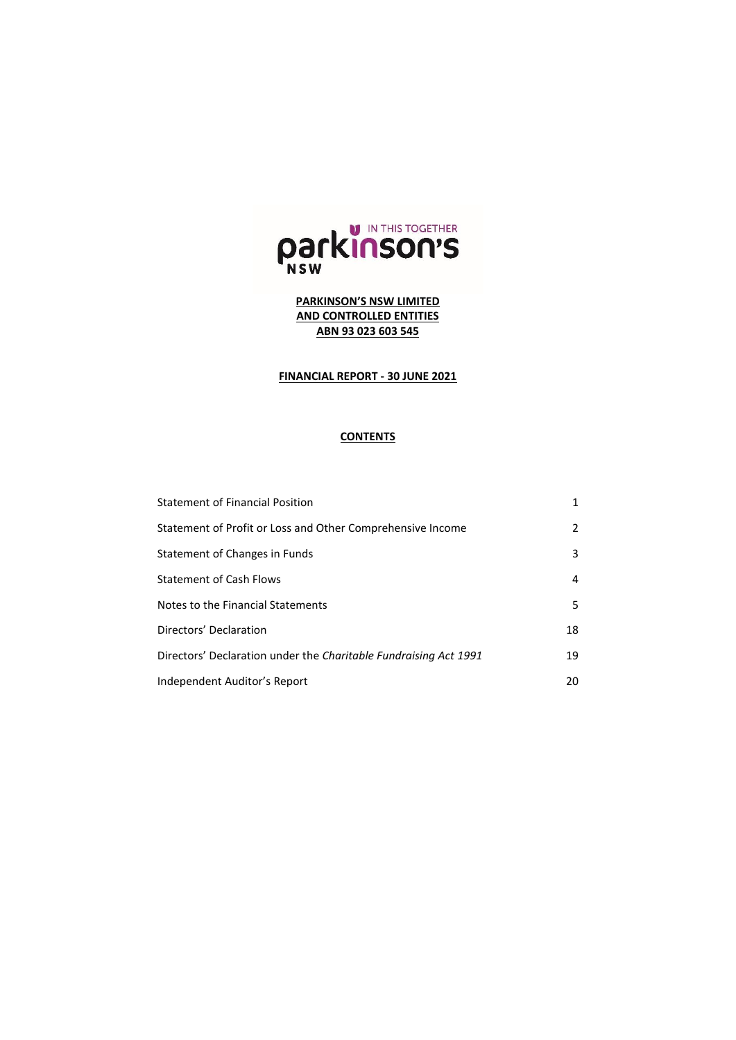

# **FINANCIAL REPORT - 30 JUNE 2021**

## **CONTENTS**

| <b>Statement of Financial Position</b>                           | 1  |
|------------------------------------------------------------------|----|
| Statement of Profit or Loss and Other Comprehensive Income       | 2  |
| Statement of Changes in Funds                                    | 3  |
| <b>Statement of Cash Flows</b>                                   | 4  |
| Notes to the Financial Statements                                | 5  |
| Directors' Declaration                                           | 18 |
| Directors' Declaration under the Charitable Fundraising Act 1991 | 19 |
| Independent Auditor's Report                                     | 20 |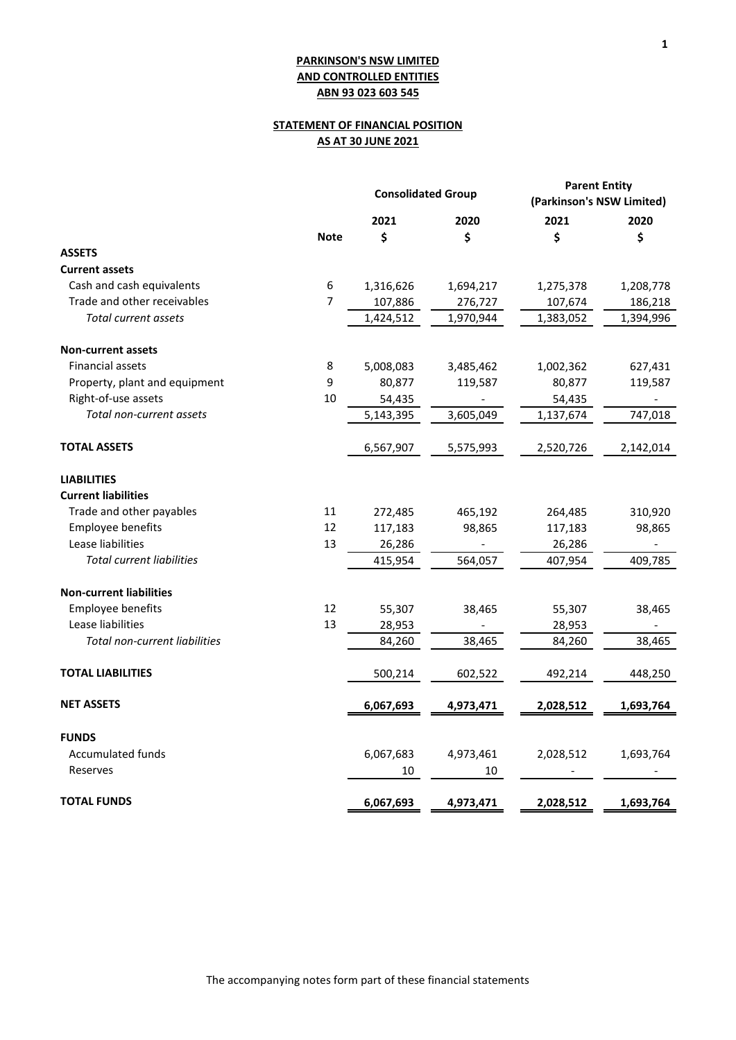# **STATEMENT OF FINANCIAL POSITION AS AT 30 JUNE 2021**

|                                  |                | <b>Consolidated Group</b> |           | <b>Parent Entity</b><br>(Parkinson's NSW Limited) |           |
|----------------------------------|----------------|---------------------------|-----------|---------------------------------------------------|-----------|
|                                  |                | 2021                      | 2020      | 2021                                              | 2020      |
|                                  | <b>Note</b>    | \$                        | \$        | \$                                                | \$        |
| <b>ASSETS</b>                    |                |                           |           |                                                   |           |
| <b>Current assets</b>            |                |                           |           |                                                   |           |
| Cash and cash equivalents        | 6              | 1,316,626                 | 1,694,217 | 1,275,378                                         | 1,208,778 |
| Trade and other receivables      | $\overline{7}$ | 107,886                   | 276,727   | 107,674                                           | 186,218   |
| Total current assets             |                | 1,424,512                 | 1,970,944 | 1,383,052                                         | 1,394,996 |
| Non-current assets               |                |                           |           |                                                   |           |
| <b>Financial assets</b>          | 8              | 5,008,083                 | 3,485,462 | 1,002,362                                         | 627,431   |
| Property, plant and equipment    | 9              | 80,877                    | 119,587   | 80,877                                            | 119,587   |
| Right-of-use assets              | 10             | 54,435                    |           | 54,435                                            |           |
| Total non-current assets         |                | 5,143,395                 | 3,605,049 | 1,137,674                                         | 747,018   |
| <b>TOTAL ASSETS</b>              |                | 6,567,907                 | 5,575,993 | 2,520,726                                         | 2,142,014 |
| <b>LIABILITIES</b>               |                |                           |           |                                                   |           |
| <b>Current liabilities</b>       |                |                           |           |                                                   |           |
| Trade and other payables         | 11             | 272,485                   | 465,192   | 264,485                                           | 310,920   |
| Employee benefits                | 12             | 117,183                   | 98,865    | 117,183                                           | 98,865    |
| Lease liabilities                | 13             | 26,286                    |           | 26,286                                            |           |
| <b>Total current liabilities</b> |                | 415,954                   | 564,057   | 407,954                                           | 409,785   |
| <b>Non-current liabilities</b>   |                |                           |           |                                                   |           |
| <b>Employee benefits</b>         | 12             | 55,307                    | 38,465    | 55,307                                            | 38,465    |
| Lease liabilities                | 13             | 28,953                    |           | 28,953                                            |           |
| Total non-current liabilities    |                | 84,260                    | 38,465    | 84,260                                            | 38,465    |
| <b>TOTAL LIABILITIES</b>         |                | 500,214                   | 602,522   | 492,214                                           | 448,250   |
| <b>NET ASSETS</b>                |                | 6,067,693                 | 4,973,471 | 2,028,512                                         | 1,693,764 |
| <b>FUNDS</b>                     |                |                           |           |                                                   |           |
| Accumulated funds                |                | 6,067,683                 | 4,973,461 | 2,028,512                                         | 1,693,764 |
| Reserves                         |                | 10                        | 10        |                                                   |           |
| <b>TOTAL FUNDS</b>               |                | 6,067,693                 | 4,973,471 | 2,028,512                                         | 1,693,764 |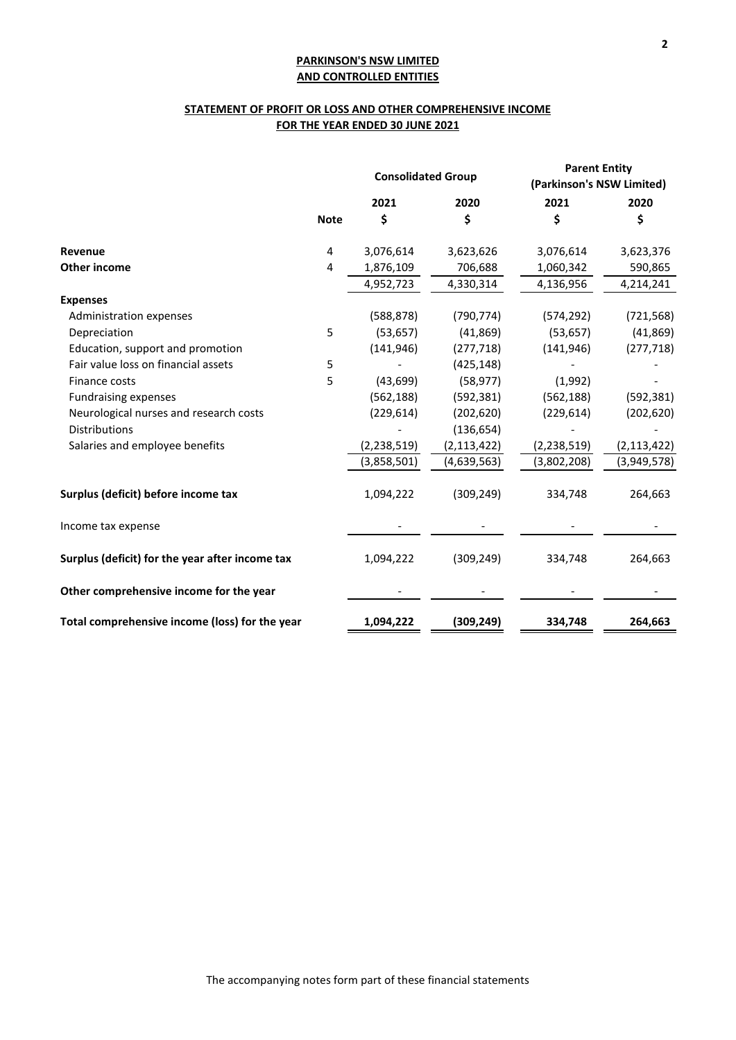# **STATEMENT OF PROFIT OR LOSS AND OTHER COMPREHENSIVE INCOME FOR THE YEAR ENDED 30 JUNE 2021**

|                                                 |             | <b>Consolidated Group</b> |               | <b>Parent Entity</b><br>(Parkinson's NSW Limited) |               |
|-------------------------------------------------|-------------|---------------------------|---------------|---------------------------------------------------|---------------|
|                                                 |             | 2021                      | 2020          | 2021                                              | 2020          |
|                                                 | <b>Note</b> | \$                        | \$            | \$                                                | \$            |
| Revenue                                         | 4           | 3,076,614                 | 3,623,626     | 3,076,614                                         | 3,623,376     |
| Other income                                    | 4           | 1,876,109                 | 706,688       | 1,060,342                                         | 590,865       |
|                                                 |             | 4,952,723                 | 4,330,314     | 4,136,956                                         | 4,214,241     |
| <b>Expenses</b>                                 |             |                           |               |                                                   |               |
| Administration expenses                         |             | (588, 878)                | (790, 774)    | (574, 292)                                        | (721, 568)    |
| Depreciation                                    | 5           | (53, 657)                 | (41,869)      | (53, 657)                                         | (41, 869)     |
| Education, support and promotion                |             | (141, 946)                | (277, 718)    | (141, 946)                                        | (277, 718)    |
| Fair value loss on financial assets             | 5           |                           | (425, 148)    |                                                   |               |
| Finance costs                                   | 5           | (43, 699)                 | (58, 977)     | (1,992)                                           |               |
| <b>Fundraising expenses</b>                     |             | (562, 188)                | (592, 381)    | (562, 188)                                        | (592, 381)    |
| Neurological nurses and research costs          |             | (229, 614)                | (202, 620)    | (229, 614)                                        | (202, 620)    |
| <b>Distributions</b>                            |             |                           | (136, 654)    |                                                   |               |
| Salaries and employee benefits                  |             | (2, 238, 519)             | (2, 113, 422) | (2, 238, 519)                                     | (2, 113, 422) |
|                                                 |             | (3,858,501)               | (4,639,563)   | (3,802,208)                                       | (3,949,578)   |
| Surplus (deficit) before income tax             |             | 1,094,222                 | (309, 249)    | 334,748                                           | 264,663       |
| Income tax expense                              |             |                           |               |                                                   |               |
| Surplus (deficit) for the year after income tax |             | 1,094,222                 | (309, 249)    | 334,748                                           | 264,663       |
| Other comprehensive income for the year         |             |                           |               |                                                   |               |
| Total comprehensive income (loss) for the year  |             | 1,094,222                 | (309, 249)    | 334,748                                           | 264,663       |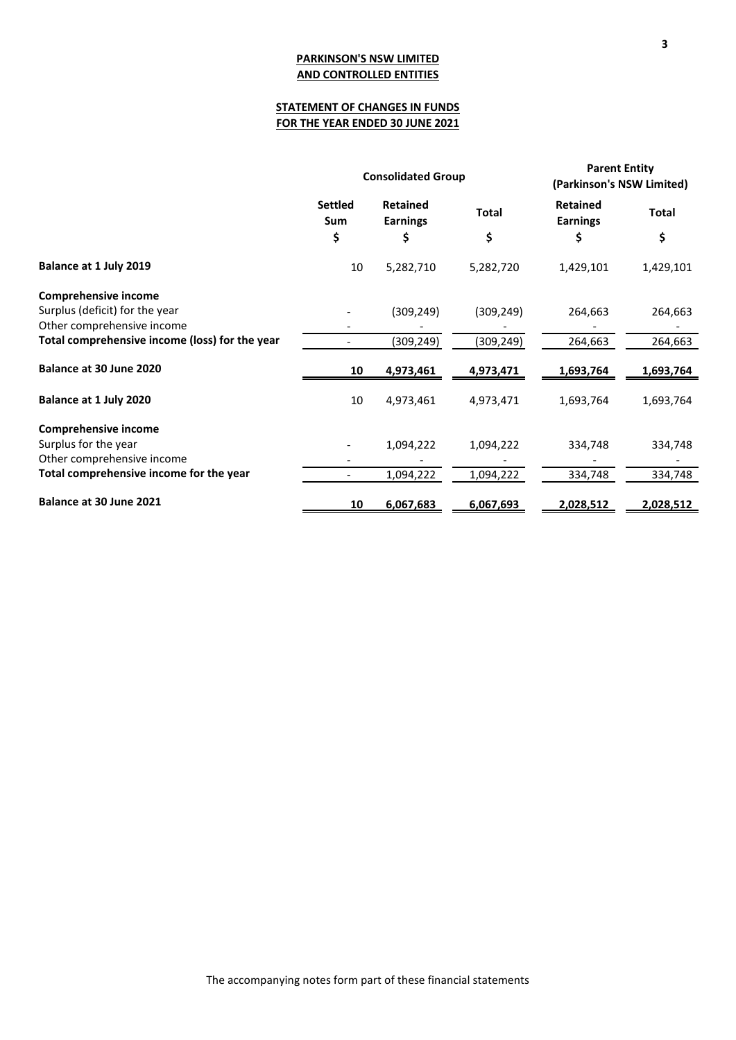# **STATEMENT OF CHANGES IN FUNDS FOR THE YEAR ENDED 30 JUNE 2021**

|                                                |                       | <b>Consolidated Group</b>          | <b>Parent Entity</b><br>(Parkinson's NSW Limited) |                                    |              |
|------------------------------------------------|-----------------------|------------------------------------|---------------------------------------------------|------------------------------------|--------------|
|                                                | <b>Settled</b><br>Sum | <b>Retained</b><br><b>Earnings</b> | <b>Total</b>                                      | <b>Retained</b><br><b>Earnings</b> | <b>Total</b> |
|                                                | \$                    | \$                                 | \$                                                | \$                                 | \$           |
| Balance at 1 July 2019                         | 10                    | 5,282,710                          | 5,282,720                                         | 1,429,101                          | 1,429,101    |
| <b>Comprehensive income</b>                    |                       |                                    |                                                   |                                    |              |
| Surplus (deficit) for the year                 |                       | (309, 249)                         | (309, 249)                                        | 264,663                            | 264,663      |
| Other comprehensive income                     |                       |                                    |                                                   |                                    |              |
| Total comprehensive income (loss) for the year |                       | (309, 249)                         | (309,249)                                         | 264,663                            | 264,663      |
| Balance at 30 June 2020                        | 10                    | 4,973,461                          | 4,973,471                                         | 1,693,764                          | 1,693,764    |
| Balance at 1 July 2020                         | 10                    | 4,973,461                          | 4,973,471                                         | 1,693,764                          | 1,693,764    |
| <b>Comprehensive income</b>                    |                       |                                    |                                                   |                                    |              |
| Surplus for the year                           |                       | 1,094,222                          | 1,094,222                                         | 334,748                            | 334,748      |
| Other comprehensive income                     |                       |                                    |                                                   |                                    |              |
| Total comprehensive income for the year        |                       | 1,094,222                          | 1,094,222                                         | 334,748                            | 334,748      |
| Balance at 30 June 2021                        | 10                    | 6,067,683                          | 6,067,693                                         | 2,028,512                          | 2,028,512    |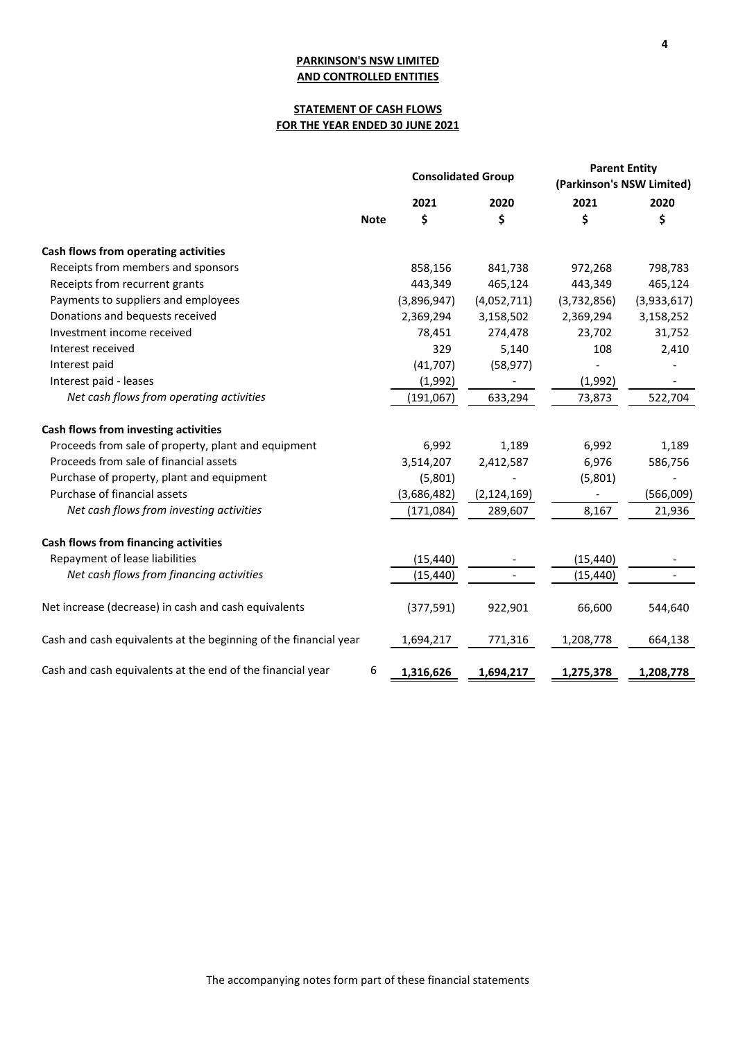# **STATEMENT OF CASH FLOWS FOR THE YEAR ENDED 30 JUNE 2021**

|                                                                  |             | <b>Consolidated Group</b> |                          | <b>Parent Entity</b><br>(Parkinson's NSW Limited) |             |
|------------------------------------------------------------------|-------------|---------------------------|--------------------------|---------------------------------------------------|-------------|
|                                                                  |             | 2021                      | 2020                     | 2021                                              | 2020        |
|                                                                  | <b>Note</b> | \$                        | \$                       | \$                                                | \$          |
| Cash flows from operating activities                             |             |                           |                          |                                                   |             |
| Receipts from members and sponsors                               |             | 858,156                   | 841,738                  | 972,268                                           | 798,783     |
| Receipts from recurrent grants                                   |             | 443,349                   | 465,124                  | 443,349                                           | 465,124     |
| Payments to suppliers and employees                              |             | (3,896,947)               | (4,052,711)              | (3,732,856)                                       | (3,933,617) |
| Donations and bequests received                                  |             | 2,369,294                 | 3,158,502                | 2,369,294                                         | 3,158,252   |
| Investment income received                                       |             | 78,451                    | 274,478                  | 23,702                                            | 31,752      |
| Interest received                                                |             | 329                       | 5,140                    | 108                                               | 2,410       |
| Interest paid                                                    |             | (41, 707)                 | (58, 977)                |                                                   |             |
| Interest paid - leases                                           |             | (1,992)                   |                          | (1,992)                                           |             |
| Net cash flows from operating activities                         |             | (191, 067)                | 633,294                  | 73,873                                            | 522,704     |
| Cash flows from investing activities                             |             |                           |                          |                                                   |             |
| Proceeds from sale of property, plant and equipment              |             | 6,992                     | 1,189                    | 6,992                                             | 1,189       |
| Proceeds from sale of financial assets                           |             | 3,514,207                 | 2,412,587                | 6,976                                             | 586,756     |
| Purchase of property, plant and equipment                        |             | (5,801)                   |                          | (5,801)                                           |             |
| Purchase of financial assets                                     |             | (3,686,482)               | (2, 124, 169)            |                                                   | (566,009)   |
| Net cash flows from investing activities                         |             | (171, 084)                | 289,607                  | 8,167                                             | 21,936      |
| <b>Cash flows from financing activities</b>                      |             |                           |                          |                                                   |             |
| Repayment of lease liabilities                                   |             | (15, 440)                 | $\overline{\phantom{0}}$ | (15, 440)                                         |             |
| Net cash flows from financing activities                         |             | (15, 440)                 |                          | (15, 440)                                         |             |
| Net increase (decrease) in cash and cash equivalents             |             | (377, 591)                | 922,901                  | 66,600                                            | 544,640     |
| Cash and cash equivalents at the beginning of the financial year |             | 1,694,217                 | 771,316                  | 1,208,778                                         | 664,138     |
| Cash and cash equivalents at the end of the financial year       | 6           | 1,316,626                 | 1,694,217                | 1,275,378                                         | 1,208,778   |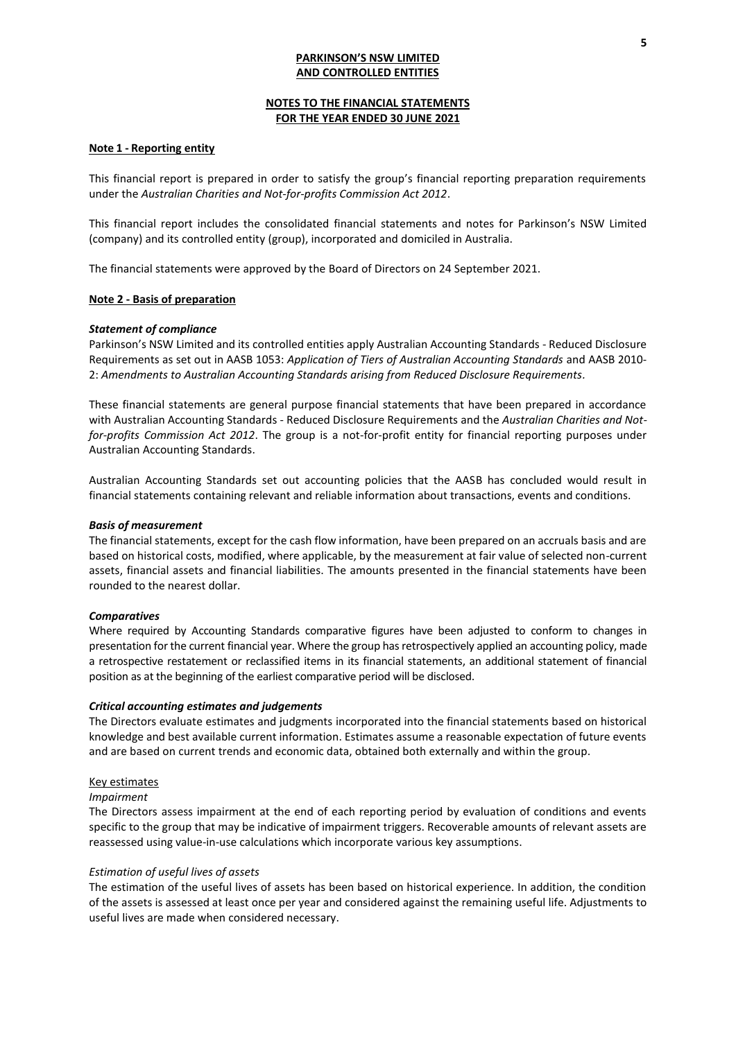## **NOTES TO THE FINANCIAL STATEMENTS FOR THE YEAR ENDED 30 JUNE 2021**

# **Note 1 - Reporting entity**

This financial report is prepared in order to satisfy the group's financial reporting preparation requirements under the *Australian Charities and Not‐for‐profits Commission Act 2012*.

This financial report includes the consolidated financial statements and notes for Parkinson's NSW Limited (company) and its controlled entity (group), incorporated and domiciled in Australia.

The financial statements were approved by the Board of Directors on 24 September 2021.

## **Note 2 - Basis of preparation**

### *Statement of compliance*

Parkinson's NSW Limited and its controlled entities apply Australian Accounting Standards - Reduced Disclosure Requirements as set out in AASB 1053: *Application of Tiers of Australian Accounting Standards* and AASB 2010- 2: *Amendments to Australian Accounting Standards arising from Reduced Disclosure Requirements.*

These financial statements are general purpose financial statements that have been prepared in accordance with Australian Accounting Standards - Reduced Disclosure Requirements and the *Australian Charities and Notfor-profits Commission Act 2012*. The group is a not-for-profit entity for financial reporting purposes under Australian Accounting Standards.

Australian Accounting Standards set out accounting policies that the AASB has concluded would result in financial statements containing relevant and reliable information about transactions, events and conditions.

### *Basis of measurement*

The financial statements, except for the cash flow information, have been prepared on an accruals basis and are based on historical costs, modified, where applicable, by the measurement at fair value of selected non-current assets, financial assets and financial liabilities. The amounts presented in the financial statements have been rounded to the nearest dollar.

### *Comparatives*

Where required by Accounting Standards comparative figures have been adjusted to conform to changes in presentation for the current financial year. Where the group has retrospectively applied an accounting policy, made a retrospective restatement or reclassified items in its financial statements, an additional statement of financial position as at the beginning of the earliest comparative period will be disclosed.

### *Critical accounting estimates and judgements*

The Directors evaluate estimates and judgments incorporated into the financial statements based on historical knowledge and best available current information. Estimates assume a reasonable expectation of future events and are based on current trends and economic data, obtained both externally and within the group.

### Key estimates

### *Impairment*

The Directors assess impairment at the end of each reporting period by evaluation of conditions and events specific to the group that may be indicative of impairment triggers. Recoverable amounts of relevant assets are reassessed using value-in-use calculations which incorporate various key assumptions.

### *Estimation of useful lives of assets*

The estimation of the useful lives of assets has been based on historical experience. In addition, the condition of the assets is assessed at least once per year and considered against the remaining useful life. Adjustments to useful lives are made when considered necessary.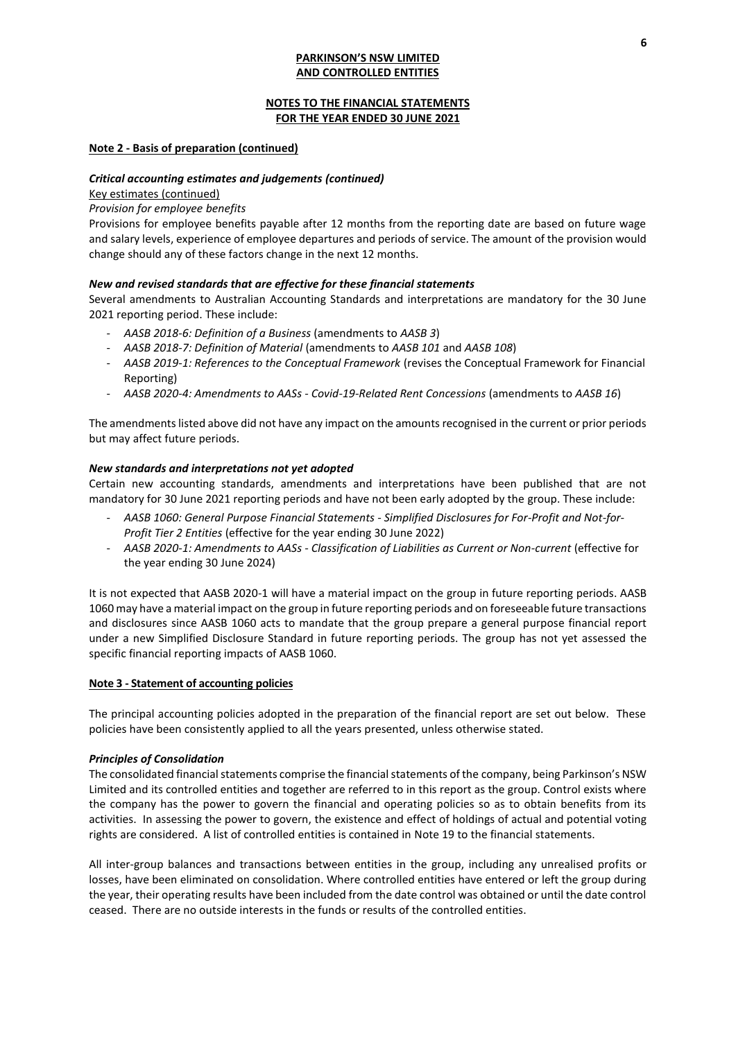## **NOTES TO THE FINANCIAL STATEMENTS FOR THE YEAR ENDED 30 JUNE 2021**

## **Note 2 - Basis of preparation (continued)**

### *Critical accounting estimates and judgements (continued)*

#### Key estimates (continued)

## *Provision for employee benefits*

Provisions for employee benefits payable after 12 months from the reporting date are based on future wage and salary levels, experience of employee departures and periods of service. The amount of the provision would change should any of these factors change in the next 12 months.

### *New and revised standards that are effective for these financial statements*

Several amendments to Australian Accounting Standards and interpretations are mandatory for the 30 June 2021 reporting period. These include:

- *AASB 2018-6: Definition of a Business* (amendments to *AASB 3*)
- *AASB 2018-7: Definition of Material* (amendments to *AASB 101* and *AASB 108*)
- *AASB 2019-1: References to the Conceptual Framework* (revises the Conceptual Framework for Financial Reporting)
- *AASB 2020-4: Amendments to AASs - Covid-19-Related Rent Concessions* (amendments to *AASB 16*)

The amendments listed above did not have any impact on the amounts recognised in the current or prior periods but may affect future periods.

#### *New standards and interpretations not yet adopted*

Certain new accounting standards, amendments and interpretations have been published that are not mandatory for 30 June 2021 reporting periods and have not been early adopted by the group. These include:

- *AASB 1060: General Purpose Financial Statements - Simplified Disclosures for For-Profit and Not-for-Profit Tier 2 Entities* (effective for the year ending 30 June 2022)
- *AASB 2020-1: Amendments to AASs - Classification of Liabilities as Current or Non-current* (effective for the year ending 30 June 2024)

It is not expected that AASB 2020-1 will have a material impact on the group in future reporting periods. AASB 1060 may have a material impact on the group in future reporting periods and on foreseeable future transactions and disclosures since AASB 1060 acts to mandate that the group prepare a general purpose financial report under a new Simplified Disclosure Standard in future reporting periods. The group has not yet assessed the specific financial reporting impacts of AASB 1060.

#### **Note 3 - Statement of accounting policies**

The principal accounting policies adopted in the preparation of the financial report are set out below. These policies have been consistently applied to all the years presented, unless otherwise stated.

#### *Principles of Consolidation*

The consolidated financial statements comprise the financial statements of the company, being Parkinson's NSW Limited and its controlled entities and together are referred to in this report as the group. Control exists where the company has the power to govern the financial and operating policies so as to obtain benefits from its activities. In assessing the power to govern, the existence and effect of holdings of actual and potential voting rights are considered. A list of controlled entities is contained in Note 19 to the financial statements.

All inter-group balances and transactions between entities in the group, including any unrealised profits or losses, have been eliminated on consolidation. Where controlled entities have entered or left the group during the year, their operating results have been included from the date control was obtained or until the date control ceased. There are no outside interests in the funds or results of the controlled entities.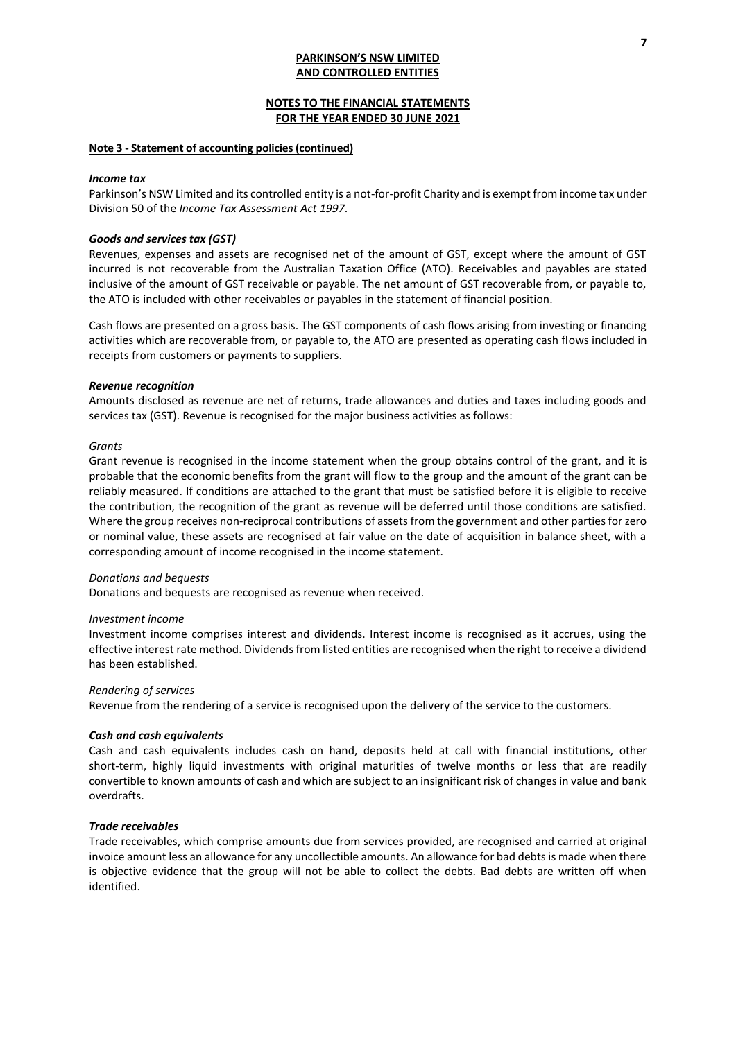## **NOTES TO THE FINANCIAL STATEMENTS FOR THE YEAR ENDED 30 JUNE 2021**

#### **Note 3 - Statement of accounting policies(continued)**

#### *Income tax*

Parkinson's NSW Limited and its controlled entity is a not-for-profit Charity and is exempt from income tax under Division 50 of the *Income Tax Assessment Act 1997*.

## *Goods and services tax (GST)*

Revenues, expenses and assets are recognised net of the amount of GST, except where the amount of GST incurred is not recoverable from the Australian Taxation Office (ATO). Receivables and payables are stated inclusive of the amount of GST receivable or payable. The net amount of GST recoverable from, or payable to, the ATO is included with other receivables or payables in the statement of financial position.

Cash flows are presented on a gross basis. The GST components of cash flows arising from investing or financing activities which are recoverable from, or payable to, the ATO are presented as operating cash flows included in receipts from customers or payments to suppliers.

#### *Revenue recognition*

Amounts disclosed as revenue are net of returns, trade allowances and duties and taxes including goods and services tax (GST). Revenue is recognised for the major business activities as follows:

#### *Grants*

Grant revenue is recognised in the income statement when the group obtains control of the grant, and it is probable that the economic benefits from the grant will flow to the group and the amount of the grant can be reliably measured. If conditions are attached to the grant that must be satisfied before it is eligible to receive the contribution, the recognition of the grant as revenue will be deferred until those conditions are satisfied. Where the group receives non-reciprocal contributions of assets from the government and other parties for zero or nominal value, these assets are recognised at fair value on the date of acquisition in balance sheet, with a corresponding amount of income recognised in the income statement.

#### *Donations and bequests*

Donations and bequests are recognised as revenue when received.

#### *Investment income*

Investment income comprises interest and dividends. Interest income is recognised as it accrues, using the effective interest rate method. Dividends from listed entities are recognised when the right to receive a dividend has been established.

#### *Rendering of services*

Revenue from the rendering of a service is recognised upon the delivery of the service to the customers.

#### *Cash and cash equivalents*

Cash and cash equivalents includes cash on hand, deposits held at call with financial institutions, other short-term, highly liquid investments with original maturities of twelve months or less that are readily convertible to known amounts of cash and which are subject to an insignificant risk of changes in value and bank overdrafts.

#### *Trade receivables*

Trade receivables, which comprise amounts due from services provided, are recognised and carried at original invoice amount less an allowance for any uncollectible amounts. An allowance for bad debts is made when there is objective evidence that the group will not be able to collect the debts. Bad debts are written off when identified.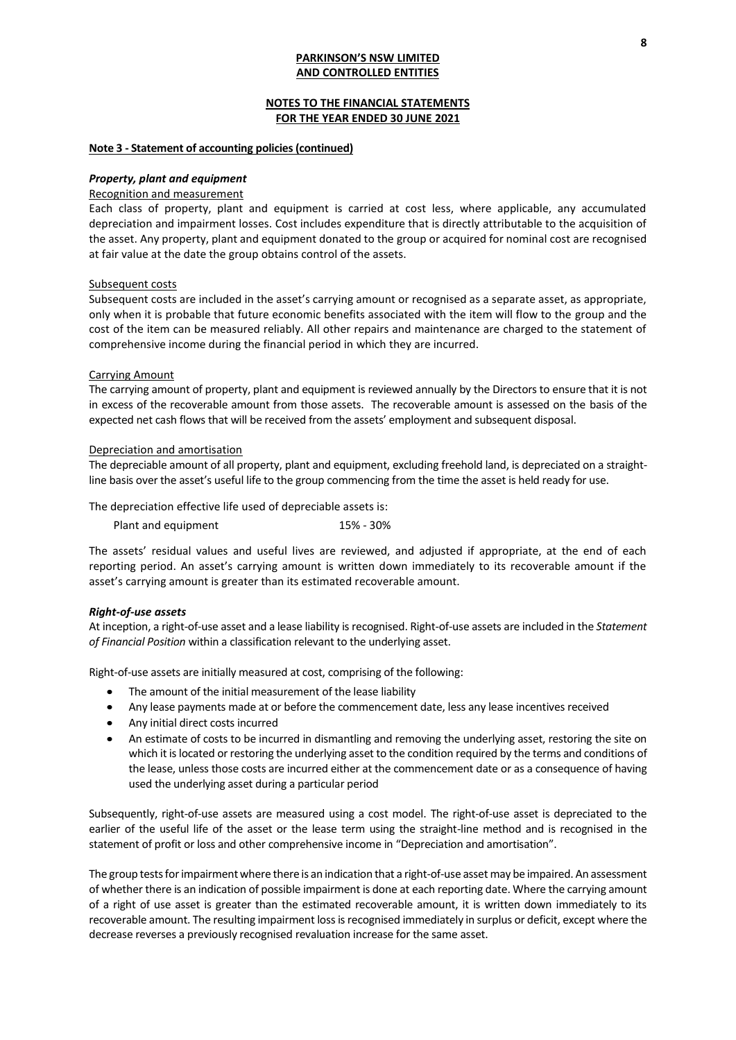## **NOTES TO THE FINANCIAL STATEMENTS FOR THE YEAR ENDED 30 JUNE 2021**

#### **Note 3 - Statement of accounting policies(continued)**

#### *Property, plant and equipment*

#### Recognition and measurement

Each class of property, plant and equipment is carried at cost less, where applicable, any accumulated depreciation and impairment losses. Cost includes expenditure that is directly attributable to the acquisition of the asset. Any property, plant and equipment donated to the group or acquired for nominal cost are recognised at fair value at the date the group obtains control of the assets.

#### Subsequent costs

Subsequent costs are included in the asset's carrying amount or recognised as a separate asset, as appropriate, only when it is probable that future economic benefits associated with the item will flow to the group and the cost of the item can be measured reliably. All other repairs and maintenance are charged to the statement of comprehensive income during the financial period in which they are incurred.

#### Carrying Amount

The carrying amount of property, plant and equipment is reviewed annually by the Directors to ensure that it is not in excess of the recoverable amount from those assets. The recoverable amount is assessed on the basis of the expected net cash flows that will be received from the assets' employment and subsequent disposal.

#### Depreciation and amortisation

The depreciable amount of all property, plant and equipment, excluding freehold land, is depreciated on a straightline basis over the asset's useful life to the group commencing from the time the asset is held ready for use.

The depreciation effective life used of depreciable assets is:

| Plant and equipment | 15% - 30% |
|---------------------|-----------|
|---------------------|-----------|

The assets' residual values and useful lives are reviewed, and adjusted if appropriate, at the end of each reporting period. An asset's carrying amount is written down immediately to its recoverable amount if the asset's carrying amount is greater than its estimated recoverable amount.

#### *Right-of-use assets*

At inception, a right-of-use asset and a lease liability is recognised. Right-of-use assets are included in the *Statement of Financial Position* within a classification relevant to the underlying asset.

Right-of-use assets are initially measured at cost, comprising of the following:

- The amount of the initial measurement of the lease liability
- Any lease payments made at or before the commencement date, less any lease incentives received
- Any initial direct costs incurred
- An estimate of costs to be incurred in dismantling and removing the underlying asset, restoring the site on which it is located or restoring the underlying asset to the condition required by the terms and conditions of the lease, unless those costs are incurred either at the commencement date or as a consequence of having used the underlying asset during a particular period

Subsequently, right-of-use assets are measured using a cost model. The right-of-use asset is depreciated to the earlier of the useful life of the asset or the lease term using the straight-line method and is recognised in the statement of profit or loss and other comprehensive income in "Depreciation and amortisation".

The group tests for impairment where there is an indication that a right-of-use asset may be impaired. An assessment of whether there is an indication of possible impairment is done at each reporting date. Where the carrying amount of a right of use asset is greater than the estimated recoverable amount, it is written down immediately to its recoverable amount. The resulting impairment loss is recognised immediately in surplus or deficit, except where the decrease reverses a previously recognised revaluation increase for the same asset.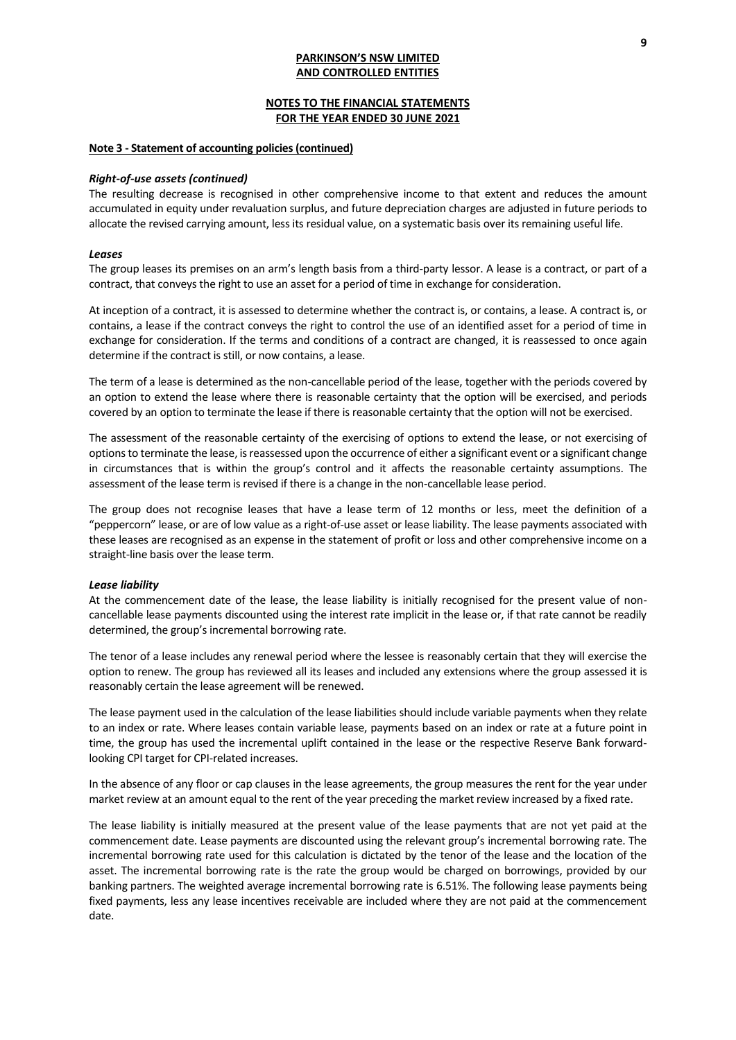### **NOTES TO THE FINANCIAL STATEMENTS FOR THE YEAR ENDED 30 JUNE 2021**

#### **Note 3 - Statement of accounting policies(continued)**

#### *Right-of-use assets (continued)*

The resulting decrease is recognised in other comprehensive income to that extent and reduces the amount accumulated in equity under revaluation surplus, and future depreciation charges are adjusted in future periods to allocate the revised carrying amount, less its residual value, on a systematic basis over its remaining useful life.

#### *Leases*

The group leases its premises on an arm's length basis from a third-party lessor. A lease is a contract, or part of a contract, that conveys the right to use an asset for a period of time in exchange for consideration.

At inception of a contract, it is assessed to determine whether the contract is, or contains, a lease. A contract is, or contains, a lease if the contract conveys the right to control the use of an identified asset for a period of time in exchange for consideration. If the terms and conditions of a contract are changed, it is reassessed to once again determine if the contract is still, or now contains, a lease.

The term of a lease is determined as the non-cancellable period of the lease, together with the periods covered by an option to extend the lease where there is reasonable certainty that the option will be exercised, and periods covered by an option to terminate the lease if there is reasonable certainty that the option will not be exercised.

The assessment of the reasonable certainty of the exercising of options to extend the lease, or not exercising of options to terminate the lease, is reassessed upon the occurrence of either a significant event or a significant change in circumstances that is within the group's control and it affects the reasonable certainty assumptions. The assessment of the lease term is revised if there is a change in the non-cancellable lease period.

The group does not recognise leases that have a lease term of 12 months or less, meet the definition of a "peppercorn" lease, or are of low value as a right-of-use asset or lease liability. The lease payments associated with these leases are recognised as an expense in the statement of profit or loss and other comprehensive income on a straight-line basis over the lease term.

#### *Lease liability*

At the commencement date of the lease, the lease liability is initially recognised for the present value of noncancellable lease payments discounted using the interest rate implicit in the lease or, if that rate cannot be readily determined, the group's incremental borrowing rate.

The tenor of a lease includes any renewal period where the lessee is reasonably certain that they will exercise the option to renew. The group has reviewed all its leases and included any extensions where the group assessed it is reasonably certain the lease agreement will be renewed.

The lease payment used in the calculation of the lease liabilities should include variable payments when they relate to an index or rate. Where leases contain variable lease, payments based on an index or rate at a future point in time, the group has used the incremental uplift contained in the lease or the respective Reserve Bank forwardlooking CPI target for CPI-related increases.

In the absence of any floor or cap clauses in the lease agreements, the group measures the rent for the year under market review at an amount equal to the rent of the year preceding the market review increased by a fixed rate.

The lease liability is initially measured at the present value of the lease payments that are not yet paid at the commencement date. Lease payments are discounted using the relevant group's incremental borrowing rate. The incremental borrowing rate used for this calculation is dictated by the tenor of the lease and the location of the asset. The incremental borrowing rate is the rate the group would be charged on borrowings, provided by our banking partners. The weighted average incremental borrowing rate is 6.51%. The following lease payments being fixed payments, less any lease incentives receivable are included where they are not paid at the commencement date.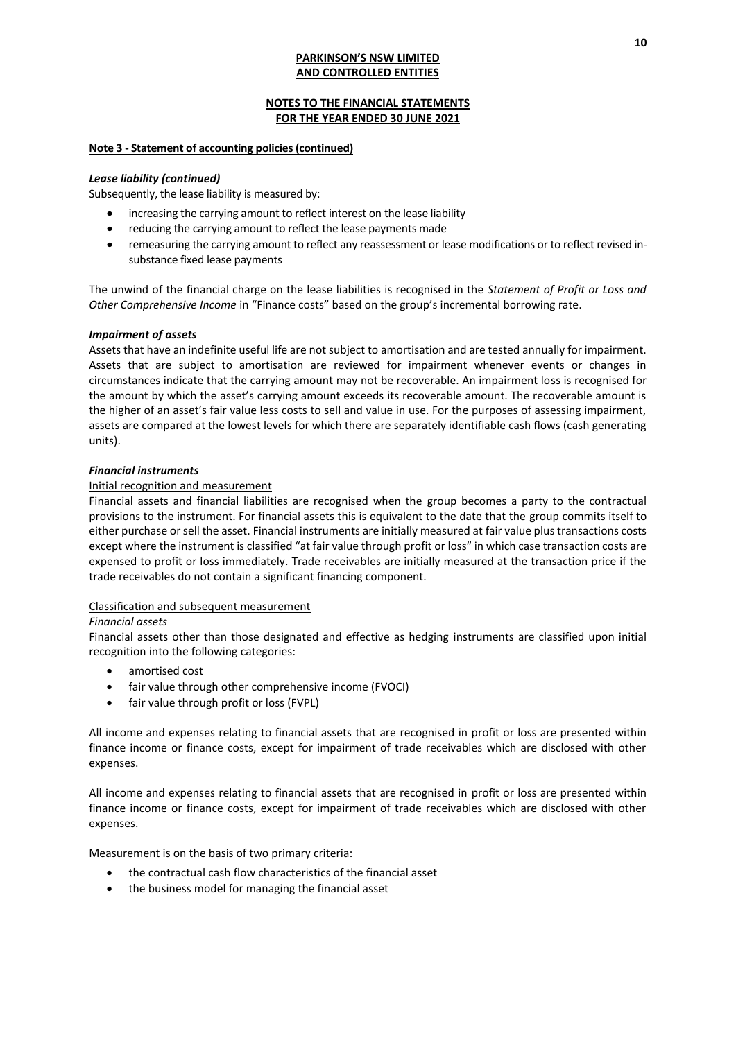## **NOTES TO THE FINANCIAL STATEMENTS FOR THE YEAR ENDED 30 JUNE 2021**

## **Note 3 - Statement of accounting policies(continued)**

## *Lease liability (continued)*

Subsequently, the lease liability is measured by:

- increasing the carrying amount to reflect interest on the lease liability
- reducing the carrying amount to reflect the lease payments made
- remeasuring the carrying amount to reflect any reassessment or lease modifications or to reflect revised insubstance fixed lease payments

The unwind of the financial charge on the lease liabilities is recognised in the *Statement of Profit or Loss and Other Comprehensive Income* in "Finance costs" based on the group's incremental borrowing rate.

### *Impairment of assets*

Assets that have an indefinite useful life are not subject to amortisation and are tested annually for impairment. Assets that are subject to amortisation are reviewed for impairment whenever events or changes in circumstances indicate that the carrying amount may not be recoverable. An impairment loss is recognised for the amount by which the asset's carrying amount exceeds its recoverable amount. The recoverable amount is the higher of an asset's fair value less costs to sell and value in use. For the purposes of assessing impairment, assets are compared at the lowest levels for which there are separately identifiable cash flows (cash generating units).

### *Financial instruments*

### Initial recognition and measurement

Financial assets and financial liabilities are recognised when the group becomes a party to the contractual provisions to the instrument. For financial assets this is equivalent to the date that the group commits itself to either purchase or sell the asset. Financial instruments are initially measured at fair value plus transactions costs except where the instrument is classified "at fair value through profit or loss" in which case transaction costs are expensed to profit or loss immediately. Trade receivables are initially measured at the transaction price if the trade receivables do not contain a significant financing component.

### Classification and subsequent measurement

### *Financial assets*

Financial assets other than those designated and effective as hedging instruments are classified upon initial recognition into the following categories:

- amortised cost
- fair value through other comprehensive income (FVOCI)
- fair value through profit or loss (FVPL)

All income and expenses relating to financial assets that are recognised in profit or loss are presented within finance income or finance costs, except for impairment of trade receivables which are disclosed with other expenses.

All income and expenses relating to financial assets that are recognised in profit or loss are presented within finance income or finance costs, except for impairment of trade receivables which are disclosed with other expenses.

Measurement is on the basis of two primary criteria:

- the contractual cash flow characteristics of the financial asset
- the business model for managing the financial asset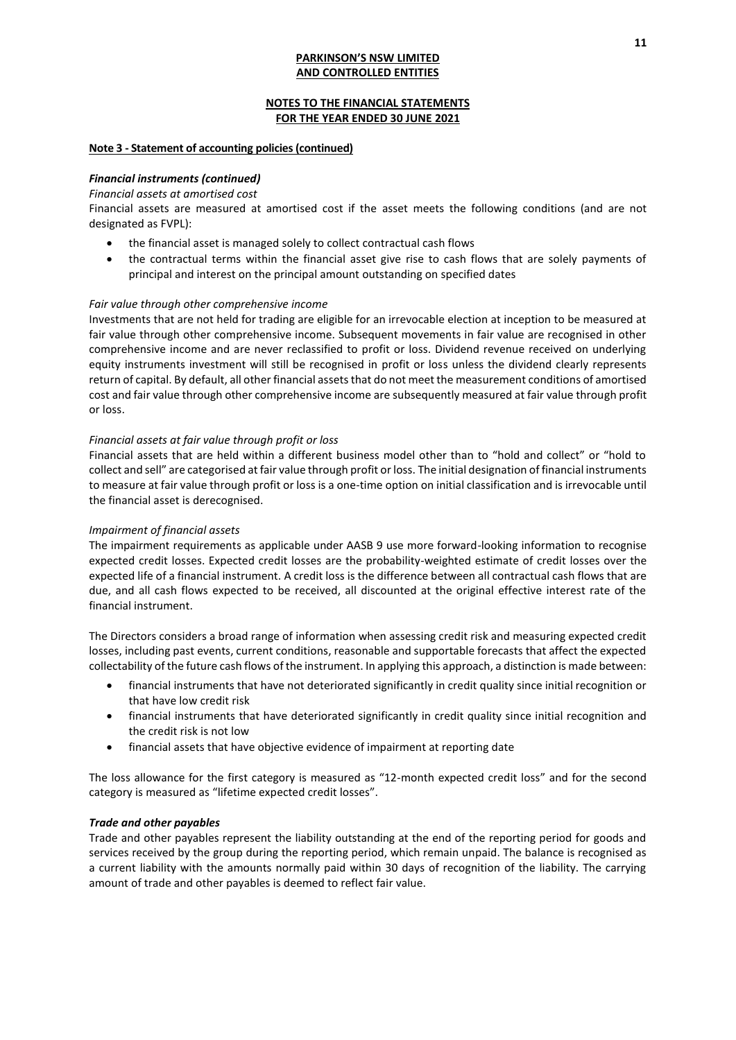## **NOTES TO THE FINANCIAL STATEMENTS FOR THE YEAR ENDED 30 JUNE 2021**

### **Note 3 - Statement of accounting policies (continued)**

## *Financial instruments (continued)*

#### *Financial assets at amortised cost*

Financial assets are measured at amortised cost if the asset meets the following conditions (and are not designated as FVPL):

- the financial asset is managed solely to collect contractual cash flows
- the contractual terms within the financial asset give rise to cash flows that are solely payments of principal and interest on the principal amount outstanding on specified dates

### *Fair value through other comprehensive income*

Investments that are not held for trading are eligible for an irrevocable election at inception to be measured at fair value through other comprehensive income. Subsequent movements in fair value are recognised in other comprehensive income and are never reclassified to profit or loss. Dividend revenue received on underlying equity instruments investment will still be recognised in profit or loss unless the dividend clearly represents return of capital. By default, all other financial assets that do not meet the measurement conditions of amortised cost and fair value through other comprehensive income are subsequently measured at fair value through profit or loss.

#### *Financial assets at fair value through profit or loss*

Financial assets that are held within a different business model other than to "hold and collect" or "hold to collect and sell" are categorised at fair value through profit or loss. The initial designation of financial instruments to measure at fair value through profit or loss is a one-time option on initial classification and is irrevocable until the financial asset is derecognised.

#### *Impairment of financial assets*

The impairment requirements as applicable under AASB 9 use more forward-looking information to recognise expected credit losses. Expected credit losses are the probability-weighted estimate of credit losses over the expected life of a financial instrument. A credit loss is the difference between all contractual cash flows that are due, and all cash flows expected to be received, all discounted at the original effective interest rate of the financial instrument.

The Directors considers a broad range of information when assessing credit risk and measuring expected credit losses, including past events, current conditions, reasonable and supportable forecasts that affect the expected collectability of the future cash flows of the instrument. In applying this approach, a distinction is made between:

- financial instruments that have not deteriorated significantly in credit quality since initial recognition or that have low credit risk
- financial instruments that have deteriorated significantly in credit quality since initial recognition and the credit risk is not low
- financial assets that have objective evidence of impairment at reporting date

The loss allowance for the first category is measured as "12-month expected credit loss" and for the second category is measured as "lifetime expected credit losses".

#### *Trade and other payables*

Trade and other payables represent the liability outstanding at the end of the reporting period for goods and services received by the group during the reporting period, which remain unpaid. The balance is recognised as a current liability with the amounts normally paid within 30 days of recognition of the liability. The carrying amount of trade and other payables is deemed to reflect fair value.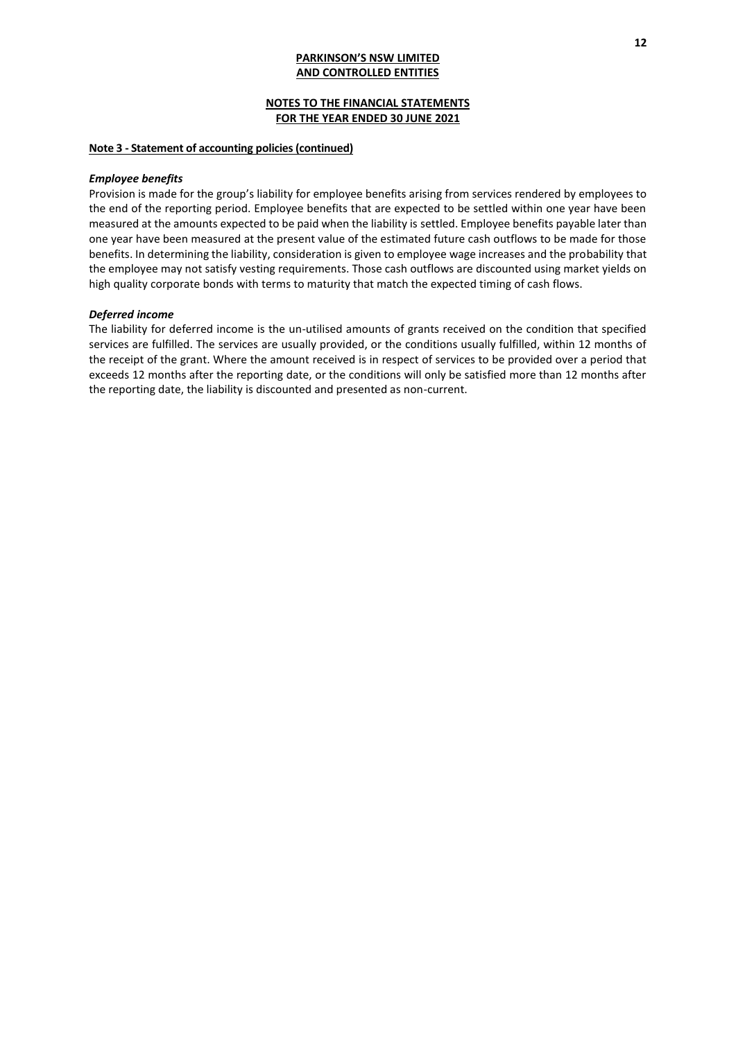## **NOTES TO THE FINANCIAL STATEMENTS FOR THE YEAR ENDED 30 JUNE 2021**

#### **Note 3 - Statement of accounting policies (continued)**

#### *Employee benefits*

Provision is made for the group's liability for employee benefits arising from services rendered by employees to the end of the reporting period. Employee benefits that are expected to be settled within one year have been measured at the amounts expected to be paid when the liability is settled. Employee benefits payable later than one year have been measured at the present value of the estimated future cash outflows to be made for those benefits. In determining the liability, consideration is given to employee wage increases and the probability that the employee may not satisfy vesting requirements. Those cash outflows are discounted using market yields on high quality corporate bonds with terms to maturity that match the expected timing of cash flows.

#### *Deferred income*

The liability for deferred income is the un-utilised amounts of grants received on the condition that specified services are fulfilled. The services are usually provided, or the conditions usually fulfilled, within 12 months of the receipt of the grant. Where the amount received is in respect of services to be provided over a period that exceeds 12 months after the reporting date, or the conditions will only be satisfied more than 12 months after the reporting date, the liability is discounted and presented as non-current.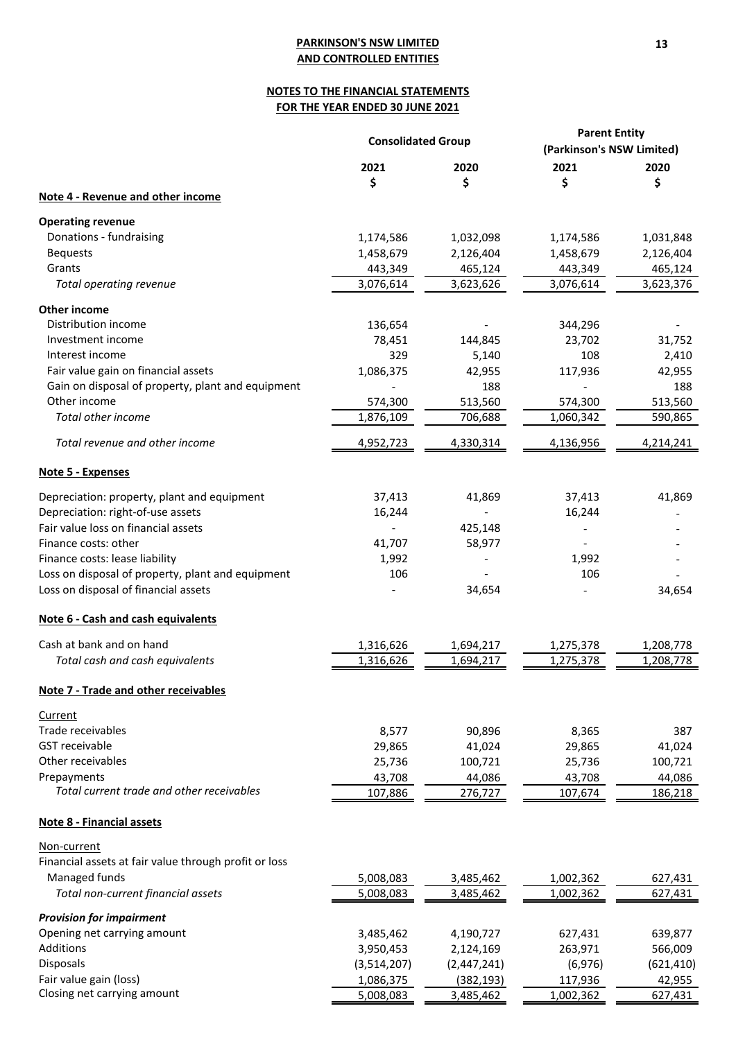# **NOTES TO THE FINANCIAL STATEMENTS FOR THE YEAR ENDED 30 JUNE 2021**

|                                                       | <b>Consolidated Group</b> |                          | <b>Parent Entity</b><br>(Parkinson's NSW Limited) |            |
|-------------------------------------------------------|---------------------------|--------------------------|---------------------------------------------------|------------|
|                                                       | 2021                      | 2020                     | 2021                                              | 2020       |
|                                                       | \$                        | \$                       | \$                                                | \$         |
| Note 4 - Revenue and other income                     |                           |                          |                                                   |            |
| <b>Operating revenue</b>                              |                           |                          |                                                   |            |
| Donations - fundraising                               | 1,174,586                 | 1,032,098                | 1,174,586                                         | 1,031,848  |
| <b>Bequests</b>                                       | 1,458,679                 | 2,126,404                | 1,458,679                                         | 2,126,404  |
| Grants                                                | 443,349                   | 465,124                  | 443,349                                           | 465,124    |
| Total operating revenue                               | 3,076,614                 | 3,623,626                | 3,076,614                                         | 3,623,376  |
| Other income                                          |                           |                          |                                                   |            |
| Distribution income                                   | 136,654                   |                          | 344,296                                           |            |
| Investment income                                     | 78,451                    | 144,845                  | 23,702                                            | 31,752     |
| Interest income                                       | 329                       | 5,140                    | 108                                               | 2,410      |
| Fair value gain on financial assets                   | 1,086,375                 | 42,955                   | 117,936                                           | 42,955     |
| Gain on disposal of property, plant and equipment     |                           | 188                      |                                                   | 188        |
| Other income                                          | 574,300                   | 513,560                  | 574,300                                           | 513,560    |
| Total other income                                    | 1,876,109                 | 706,688                  | 1,060,342                                         | 590,865    |
| Total revenue and other income                        | 4,952,723                 | 4,330,314                | 4,136,956                                         | 4,214,241  |
| Note 5 - Expenses                                     |                           |                          |                                                   |            |
| Depreciation: property, plant and equipment           | 37,413                    | 41,869                   | 37,413                                            | 41,869     |
| Depreciation: right-of-use assets                     | 16,244                    | $\overline{\phantom{a}}$ | 16,244                                            |            |
| Fair value loss on financial assets                   |                           | 425,148                  | $\overline{\phantom{a}}$                          |            |
| Finance costs: other                                  | 41,707                    | 58,977                   |                                                   |            |
| Finance costs: lease liability                        | 1,992                     |                          | 1,992                                             |            |
| Loss on disposal of property, plant and equipment     | 106                       |                          | 106                                               |            |
| Loss on disposal of financial assets                  |                           | 34,654                   |                                                   | 34,654     |
| Note 6 - Cash and cash equivalents                    |                           |                          |                                                   |            |
| Cash at bank and on hand                              | 1,316,626                 | 1,694,217                | 1,275,378                                         | 1,208,778  |
| Total cash and cash equivalents                       | 1,316,626                 | 1,694,217                | 1,275,378                                         | 1,208,778  |
| <b>Note 7 - Trade and other receivables</b>           |                           |                          |                                                   |            |
| <b>Current</b>                                        |                           |                          |                                                   |            |
| Trade receivables                                     | 8,577                     | 90,896                   | 8,365                                             | 387        |
| <b>GST</b> receivable                                 | 29,865                    | 41,024                   | 29,865                                            | 41,024     |
| Other receivables                                     | 25,736                    | 100,721                  | 25,736                                            | 100,721    |
| Prepayments                                           | 43,708                    | 44,086                   | 43,708                                            | 44,086     |
| Total current trade and other receivables             | 107,886                   | 276,727                  | 107,674                                           | 186,218    |
| <b>Note 8 - Financial assets</b>                      |                           |                          |                                                   |            |
| Non-current                                           |                           |                          |                                                   |            |
| Financial assets at fair value through profit or loss |                           |                          |                                                   |            |
| Managed funds                                         | 5,008,083                 | 3,485,462                | 1,002,362                                         | 627,431    |
| Total non-current financial assets                    | 5,008,083                 | 3,485,462                | 1,002,362                                         | 627,431    |
| <b>Provision for impairment</b>                       |                           |                          |                                                   |            |
| Opening net carrying amount                           | 3,485,462                 | 4,190,727                | 627,431                                           | 639,877    |
| Additions                                             | 3,950,453                 | 2,124,169                | 263,971                                           | 566,009    |
| Disposals                                             | (3,514,207)               | (2,447,241)              | (6,976)                                           | (621, 410) |
| Fair value gain (loss)                                | 1,086,375                 | (382, 193)               | 117,936                                           | 42,955     |
| Closing net carrying amount                           | 5,008,083                 | 3,485,462                | 1,002,362                                         | 627,431    |
|                                                       |                           |                          |                                                   |            |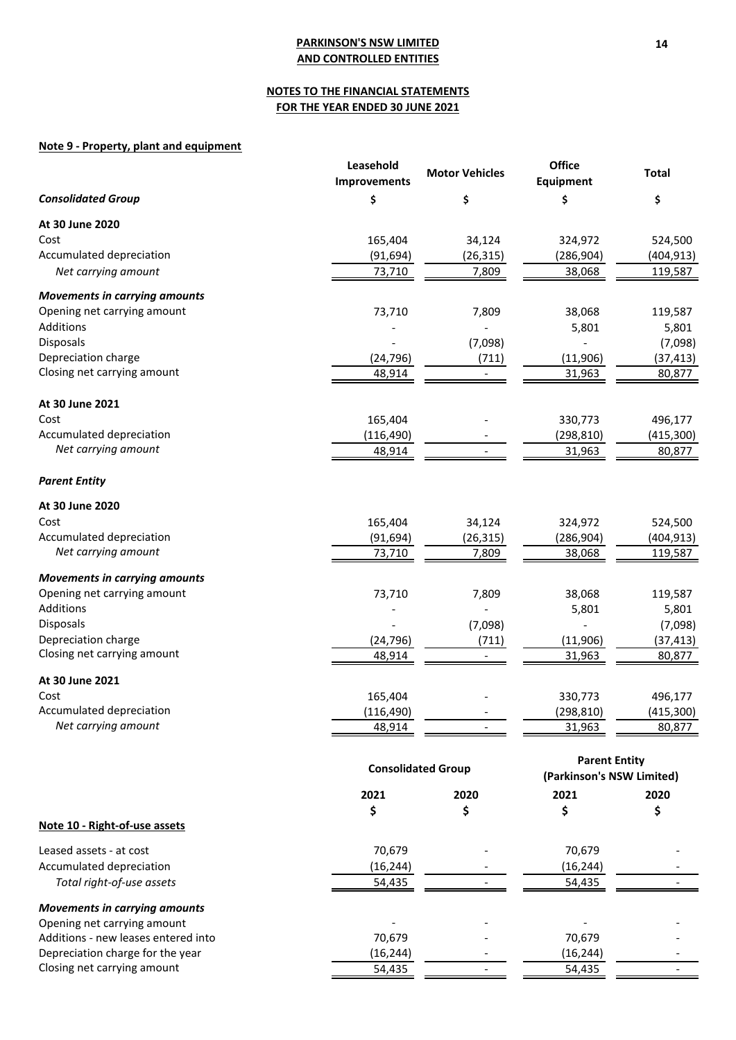# **NOTES TO THE FINANCIAL STATEMENTS FOR THE YEAR ENDED 30 JUNE 2021**

# **Note 9 - Property, plant and equipment**

|                                      | Leasehold<br>Improvements | <b>Motor Vehicles</b>     | <b>Office</b><br>Equipment                        | <b>Total</b> |
|--------------------------------------|---------------------------|---------------------------|---------------------------------------------------|--------------|
| <b>Consolidated Group</b>            | \$                        | \$                        | \$                                                | \$           |
| At 30 June 2020                      |                           |                           |                                                   |              |
| Cost                                 | 165,404                   | 34,124                    | 324,972                                           | 524,500      |
| Accumulated depreciation             | (91, 694)                 | (26, 315)                 | (286, 904)                                        | (404, 913)   |
| Net carrying amount                  | 73,710                    | 7,809                     | 38,068                                            | 119,587      |
| <b>Movements in carrying amounts</b> |                           |                           |                                                   |              |
| Opening net carrying amount          | 73,710                    | 7,809                     | 38,068                                            | 119,587      |
| Additions                            |                           |                           | 5,801                                             | 5,801        |
| <b>Disposals</b>                     |                           | (7,098)                   |                                                   | (7,098)      |
| Depreciation charge                  | (24, 796)                 | (711)                     | (11,906)                                          | (37, 413)    |
| Closing net carrying amount          | 48,914                    |                           | 31,963                                            | 80,877       |
| At 30 June 2021                      |                           |                           |                                                   |              |
| Cost                                 | 165,404                   |                           | 330,773                                           | 496,177      |
| Accumulated depreciation             | (116, 490)                |                           | (298, 810)                                        | (415, 300)   |
| Net carrying amount                  | 48,914                    |                           | 31,963                                            | 80,877       |
| <b>Parent Entity</b>                 |                           |                           |                                                   |              |
| At 30 June 2020                      |                           |                           |                                                   |              |
| Cost                                 | 165,404                   | 34,124                    | 324,972                                           | 524,500      |
| Accumulated depreciation             | (91, 694)                 | (26, 315)                 | (286, 904)                                        | (404, 913)   |
| Net carrying amount                  | 73,710                    | 7,809                     | 38,068                                            | 119,587      |
| <b>Movements in carrying amounts</b> |                           |                           |                                                   |              |
| Opening net carrying amount          | 73,710                    | 7,809                     | 38,068                                            | 119,587      |
| Additions                            |                           |                           | 5,801                                             | 5,801        |
| Disposals                            |                           | (7,098)                   |                                                   | (7,098)      |
| Depreciation charge                  | (24, 796)                 | (711)                     | (11,906)                                          | (37, 413)    |
| Closing net carrying amount          | 48,914                    |                           | 31,963                                            | 80,877       |
| At 30 June 2021                      |                           |                           |                                                   |              |
| Cost                                 | 165,404                   |                           | 330,773                                           | 496,177      |
| Accumulated depreciation             | (116, 490)                |                           | (298, 810)                                        | (415, 300)   |
| Net carrying amount                  | 48,914                    |                           | 31,963                                            | 80,877       |
|                                      |                           | <b>Consolidated Group</b> | <b>Parent Entity</b><br>(Parkinson's NSW Limited) |              |
|                                      | 2021                      | 2020                      | 2021                                              | 2020         |
|                                      | \$                        | \$                        | \$                                                | \$           |
| Note 10 - Right-of-use assets        |                           |                           |                                                   |              |
| Leased assets - at cost              | 70,679                    |                           | 70,679                                            |              |
| Accumulated depreciation             | (16, 244)                 |                           | (16, 244)                                         |              |
| Total right-of-use assets            | 54,435                    |                           | 54,435                                            |              |
| <b>Movements in carrying amounts</b> |                           |                           |                                                   |              |
| Opening net carrying amount          |                           |                           |                                                   |              |
| Additions - new leases entered into  | 70,679                    |                           | 70,679                                            |              |
| Depreciation charge for the year     | (16, 244)                 |                           | (16, 244)                                         |              |
| Closing net carrying amount          | 54,435                    |                           | 54,435                                            |              |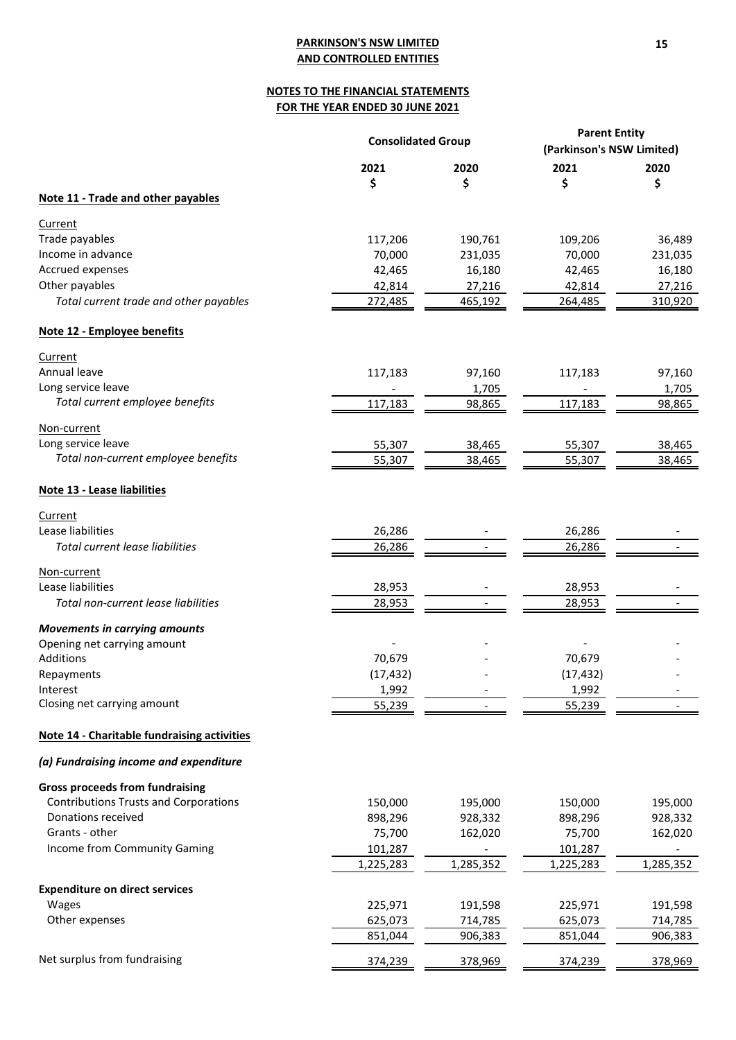# **NOTES TO THE FINANCIAL STATEMENTS FOR THE YEAR ENDED 30 JUNE 2021**

|                                              | <b>Consolidated Group</b> |           | <b>Parent Entity</b>      |           |  |
|----------------------------------------------|---------------------------|-----------|---------------------------|-----------|--|
|                                              |                           |           | (Parkinson's NSW Limited) |           |  |
|                                              | 2021                      | 2020      | 2021                      | 2020      |  |
|                                              | \$                        | \$        | \$                        | \$        |  |
| Note 11 - Trade and other payables           |                           |           |                           |           |  |
| Current                                      |                           |           |                           |           |  |
| Trade payables                               | 117,206                   | 190,761   | 109,206                   | 36,489    |  |
| Income in advance                            | 70,000                    | 231,035   | 70,000                    | 231,035   |  |
| Accrued expenses                             | 42,465                    | 16,180    | 42,465                    | 16,180    |  |
| Other payables                               | 42,814                    | 27,216    | 42,814                    | 27,216    |  |
| Total current trade and other payables       | 272,485                   | 465,192   | 264,485                   | 310,920   |  |
| Note 12 - Employee benefits                  |                           |           |                           |           |  |
| Current                                      |                           |           |                           |           |  |
| Annual leave                                 | 117,183                   | 97,160    | 117,183                   | 97,160    |  |
| Long service leave                           |                           | 1,705     |                           | 1,705     |  |
| Total current employee benefits              | 117,183                   | 98,865    | 117,183                   | 98,865    |  |
| Non-current                                  |                           |           |                           |           |  |
| Long service leave                           | 55,307                    | 38,465    | 55,307                    | 38,465    |  |
| Total non-current employee benefits          | 55,307                    | 38,465    | 55,307                    | 38,465    |  |
| Note 13 - Lease liabilities                  |                           |           |                           |           |  |
| Current                                      |                           |           |                           |           |  |
| Lease liabilities                            | 26,286                    |           | 26,286                    |           |  |
| Total current lease liabilities              | 26,286                    |           | 26,286                    |           |  |
| Non-current                                  |                           |           |                           |           |  |
| Lease liabilities                            | 28,953                    |           | 28,953                    |           |  |
| Total non-current lease liabilities          | 28,953                    |           | 28,953                    |           |  |
| <b>Movements in carrying amounts</b>         |                           |           |                           |           |  |
| Opening net carrying amount                  |                           |           |                           |           |  |
| <b>Additions</b>                             | 70,679                    |           | 70,679                    |           |  |
| Repayments                                   | (17, 432)                 |           | (17, 432)                 |           |  |
| Interest                                     | 1,992                     |           | 1,992                     |           |  |
| Closing net carrying amount                  | 55,239                    |           | 55,239                    |           |  |
| Note 14 - Charitable fundraising activities  |                           |           |                           |           |  |
| (a) Fundraising income and expenditure       |                           |           |                           |           |  |
| <b>Gross proceeds from fundraising</b>       |                           |           |                           |           |  |
| <b>Contributions Trusts and Corporations</b> | 150,000                   | 195,000   | 150,000                   | 195,000   |  |
| Donations received                           | 898,296                   | 928,332   | 898,296                   | 928,332   |  |
| Grants - other                               | 75,700                    | 162,020   | 75,700                    | 162,020   |  |
| Income from Community Gaming                 | 101,287                   |           | 101,287                   |           |  |
|                                              | 1,225,283                 | 1,285,352 | 1,225,283                 | 1,285,352 |  |
| <b>Expenditure on direct services</b>        |                           |           |                           |           |  |
| Wages                                        | 225,971                   | 191,598   | 225,971                   | 191,598   |  |
| Other expenses                               | 625,073                   | 714,785   | 625,073                   | 714,785   |  |
|                                              | 851,044                   | 906,383   | 851,044                   | 906,383   |  |
| Net surplus from fundraising                 | <u>374,239</u>            | 378,969   | 374,239                   | 378,969   |  |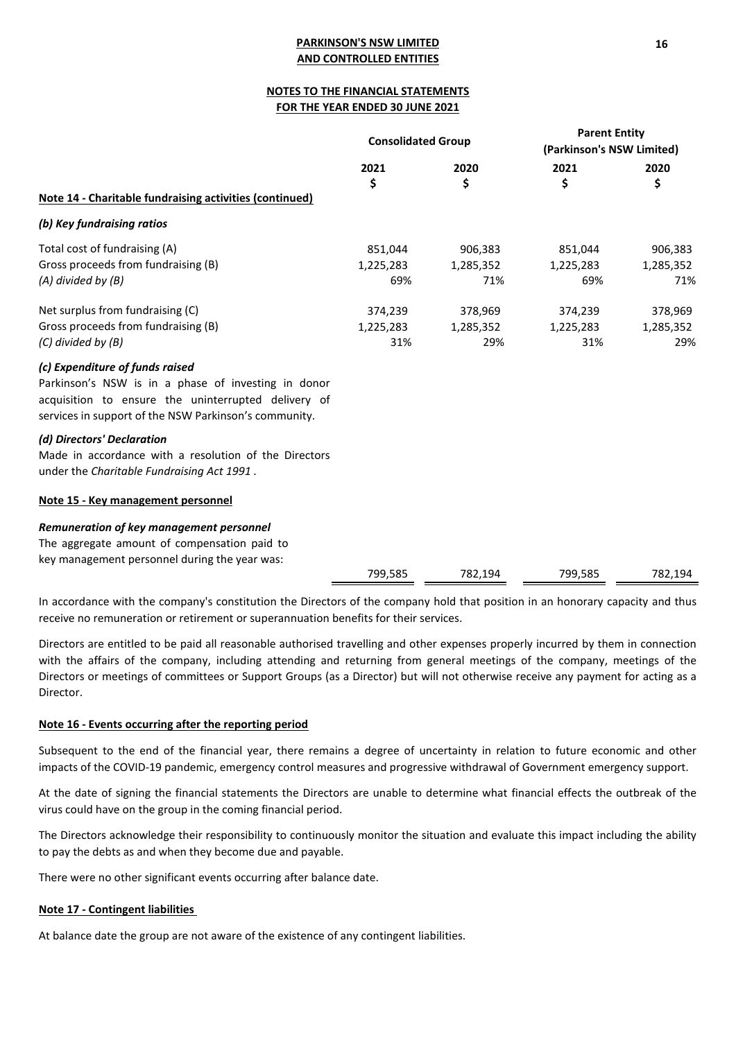# **NOTES TO THE FINANCIAL STATEMENTS FOR THE YEAR ENDED 30 JUNE 2021**

|                                                                                                                                                                                                        | <b>Consolidated Group</b>   |                             | <b>Parent Entity</b><br>(Parkinson's NSW Limited) |                             |  |
|--------------------------------------------------------------------------------------------------------------------------------------------------------------------------------------------------------|-----------------------------|-----------------------------|---------------------------------------------------|-----------------------------|--|
| Note 14 - Charitable fundraising activities (continued)                                                                                                                                                | 2021<br>\$                  | 2020<br>\$                  | 2021<br>\$                                        | 2020<br>\$                  |  |
| (b) Key fundraising ratios                                                                                                                                                                             |                             |                             |                                                   |                             |  |
| Total cost of fundraising (A)<br>Gross proceeds from fundraising (B)<br>(A) divided by (B)                                                                                                             | 851,044<br>1,225,283<br>69% | 906,383<br>1,285,352<br>71% | 851,044<br>1,225,283<br>69%                       | 906,383<br>1,285,352<br>71% |  |
| Net surplus from fundraising (C)<br>Gross proceeds from fundraising (B)<br>(C) divided by (B)                                                                                                          | 374,239<br>1,225,283<br>31% | 378,969<br>1,285,352<br>29% | 374,239<br>1,225,283<br>31%                       | 378,969<br>1,285,352<br>29% |  |
| (c) Expenditure of funds raised<br>Parkinson's NSW is in a phase of investing in donor<br>acquisition to ensure the uninterrupted delivery of<br>services in support of the NSW Parkinson's community. |                             |                             |                                                   |                             |  |
| (d) Directors' Declaration<br>Made in accordance with a resolution of the Directors<br>under the Charitable Fundraising Act 1991.                                                                      |                             |                             |                                                   |                             |  |
| Note 15 - Key management personnel                                                                                                                                                                     |                             |                             |                                                   |                             |  |
| Remuneration of key management personnel<br>The aggregate amount of compensation paid to<br>key management personnel during the year was:                                                              |                             |                             |                                                   |                             |  |
|                                                                                                                                                                                                        | 799,585                     | 782,194                     | 799,585                                           | 782,194                     |  |

In accordance with the company's constitution the Directors of the company hold that position in an honorary capacity and thus receive no remuneration or retirement or superannuation benefits for their services.

Directors are entitled to be paid all reasonable authorised travelling and other expenses properly incurred by them in connection with the affairs of the company, including attending and returning from general meetings of the company, meetings of the Directors or meetings of committees or Support Groups (as a Director) but will not otherwise receive any payment for acting as a Director.

# **Note 16 - Events occurring after the reporting period**

Subsequent to the end of the financial year, there remains a degree of uncertainty in relation to future economic and other impacts of the COVID-19 pandemic, emergency control measures and progressive withdrawal of Government emergency support.

At the date of signing the financial statements the Directors are unable to determine what financial effects the outbreak of the virus could have on the group in the coming financial period.

The Directors acknowledge their responsibility to continuously monitor the situation and evaluate this impact including the ability to pay the debts as and when they become due and payable.

There were no other significant events occurring after balance date.

## **Note 17 - Contingent liabilities**

At balance date the group are not aware of the existence of any contingent liabilities.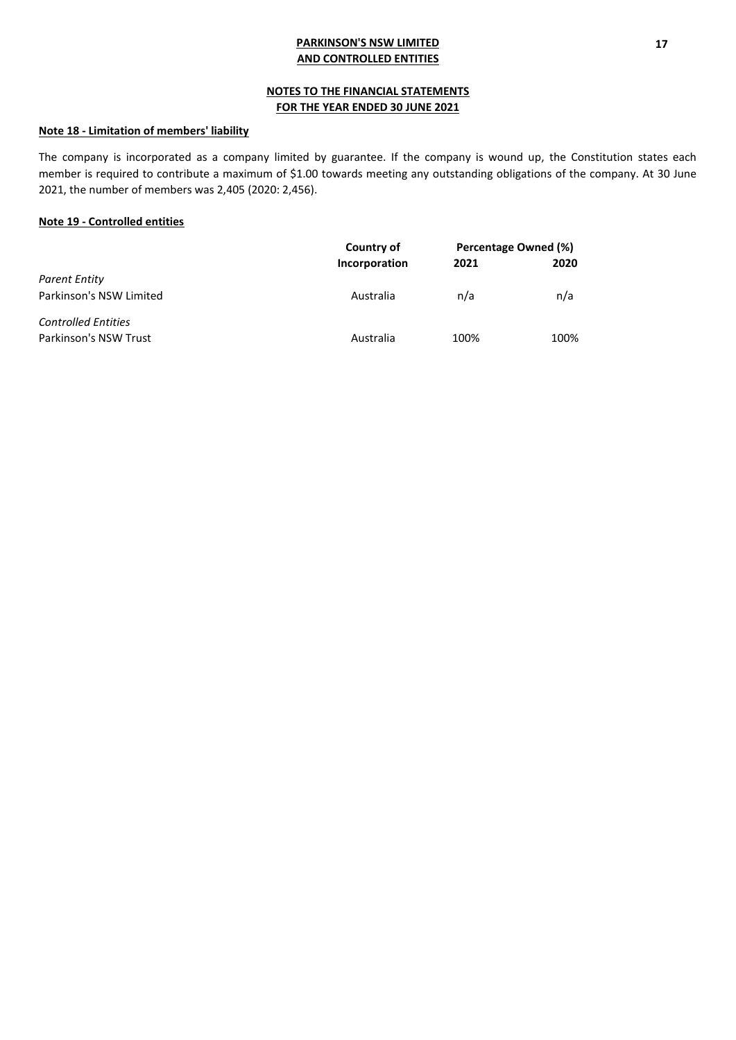# **NOTES TO THE FINANCIAL STATEMENTS FOR THE YEAR ENDED 30 JUNE 2021**

# **Note 18 - Limitation of members' liability**

The company is incorporated as a company limited by guarantee. If the company is wound up, the Constitution states each member is required to contribute a maximum of \$1.00 towards meeting any outstanding obligations of the company. At 30 June 2021, the number of members was 2,405 (2020: 2,456).

# **Note 19 - Controlled entities**

|                            | Country of    | Percentage Owned (%) |      |
|----------------------------|---------------|----------------------|------|
|                            | Incorporation | 2021                 | 2020 |
| Parent Entity              |               |                      |      |
| Parkinson's NSW Limited    | Australia     | n/a                  | n/a  |
| <b>Controlled Entities</b> |               |                      |      |
| Parkinson's NSW Trust      | Australia     | 100%                 | 100% |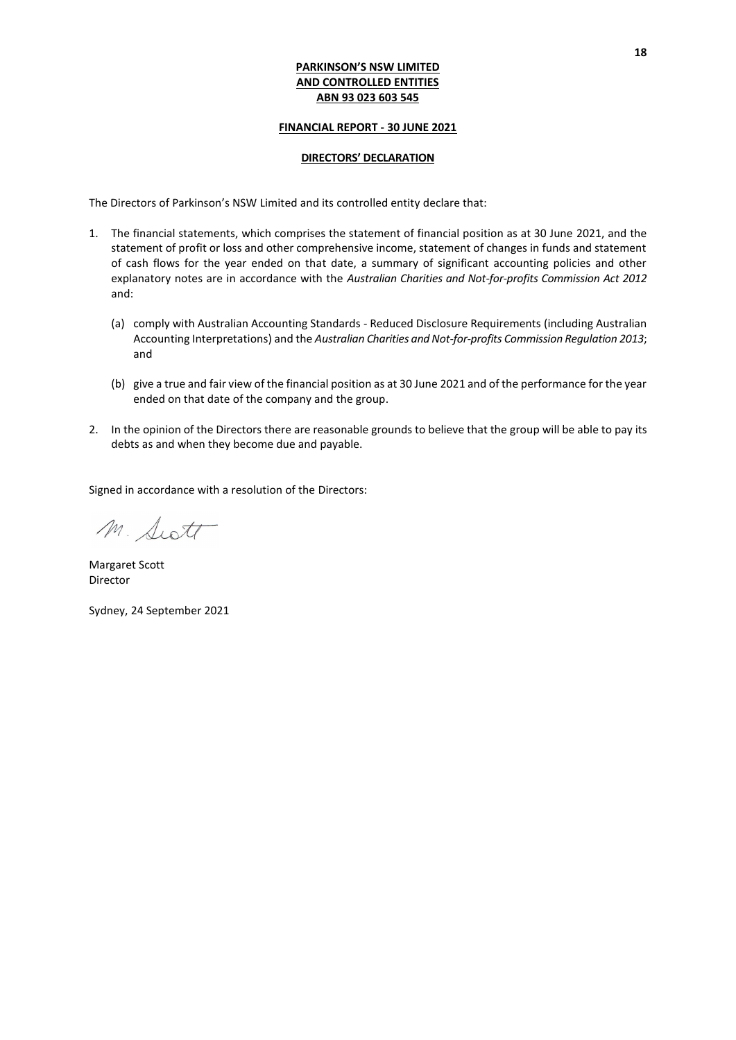## **FINANCIAL REPORT - 30 JUNE 2021**

## **DIRECTORS' DECLARATION**

The Directors of Parkinson's NSW Limited and its controlled entity declare that:

- 1. The financial statements, which comprises the statement of financial position as at 30 June 2021, and the statement of profit or loss and other comprehensive income, statement of changes in funds and statement of cash flows for the year ended on that date, a summary of significant accounting policies and other explanatory notes are in accordance with the *Australian Charities and Not-for-profits Commission Act 2012* and:
	- (a) comply with Australian Accounting Standards Reduced Disclosure Requirements (including Australian Accounting Interpretations) and the *Australian Charities and Not-for-profits Commission Regulation 2013*; and
	- (b) give a true and fair view of the financial position as at 30 June 2021 and of the performance for the year ended on that date of the company and the group.
- 2. In the opinion of the Directors there are reasonable grounds to believe that the group will be able to pay its debts as and when they become due and payable.

Signed in accordance with a resolution of the Directors:

M. Scott

Margaret Scott Director

Sydney, 24 September 2021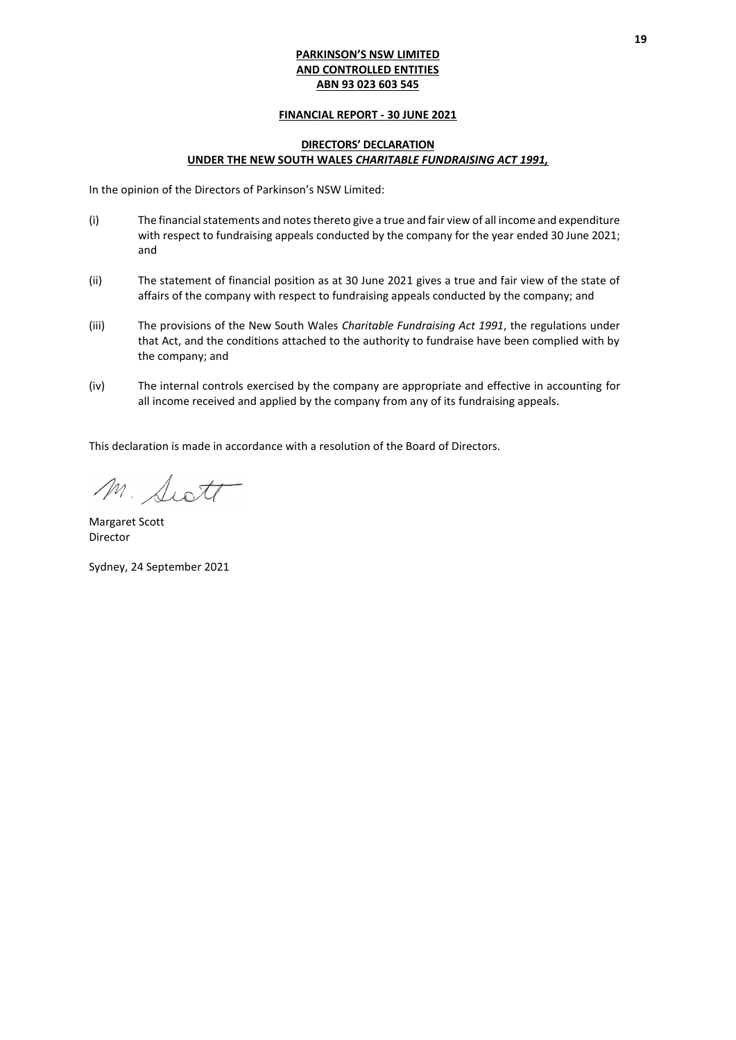## **FINANCIAL REPORT - 30 JUNE 2021**

# **DIRECTORS' DECLARATION UNDER THE NEW SOUTH WALES** *CHARITABLE FUNDRAISING ACT 1991,*

In the opinion of the Directors of Parkinson's NSW Limited:

- (i) The financial statements and notes thereto give a true and fair view of all income and expenditure with respect to fundraising appeals conducted by the company for the year ended 30 June 2021; and
- (ii) The statement of financial position as at 30 June 2021 gives a true and fair view of the state of affairs of the company with respect to fundraising appeals conducted by the company; and
- (iii) The provisions of the New South Wales *Charitable Fundraising Act 1991*, the regulations under that Act, and the conditions attached to the authority to fundraise have been complied with by the company; and
- (iv) The internal controls exercised by the company are appropriate and effective in accounting for all income received and applied by the company from any of its fundraising appeals.

This declaration is made in accordance with a resolution of the Board of Directors.

M. Switt

Margaret Scott Director

Sydney, 24 September 2021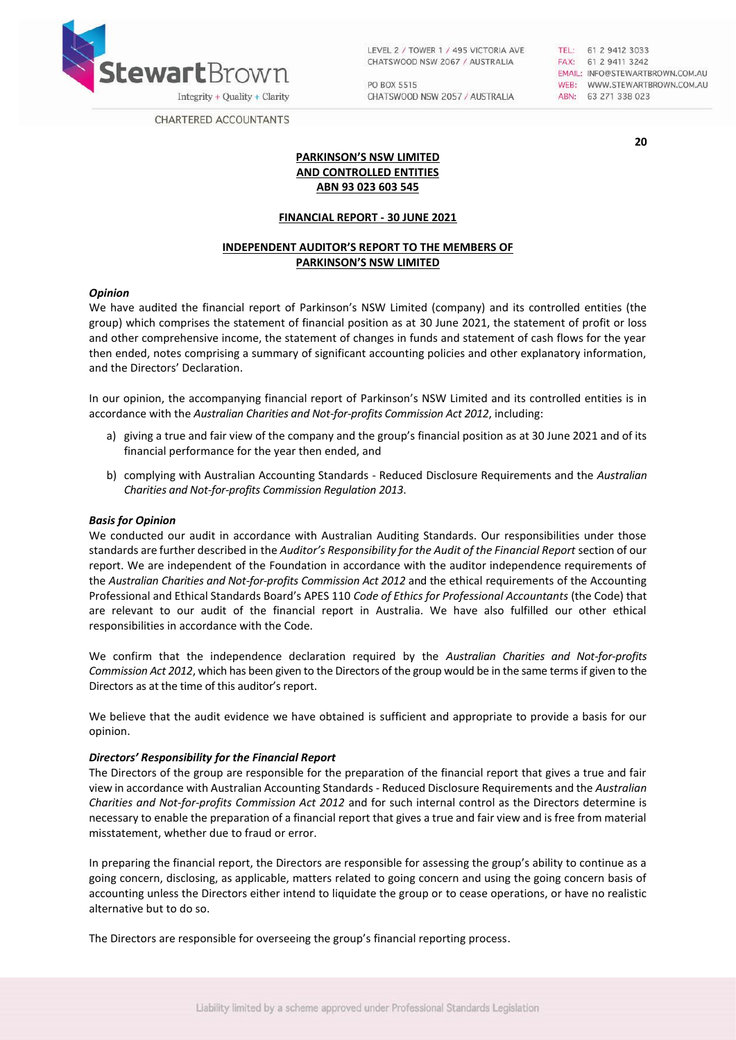

LEVEL 2 / TOWER 1 / 495 VICTORIA AVE CHATSWOOD NSW 2067 / AUSTRALIA

PO BOX 5515 CHATSWOOD NSW 2057 / AUSTRALIA TEL: 61 2 9412 3033<br>FAX: 61 2 9411 3242 EMAIL: INFO@STEWARTBROWN.COM.AU WEB: WWW.STEWARTBROWN.COM.AU ABN: 63 271 338 023

**20**

CHARTERED ACCOUNTANTS

**PARKINSON'S NSW LIMITED AND CONTROLLED ENTITIES ABN 93 023 603 545**

### **FINANCIAL REPORT - 30 JUNE 2021**

# **INDEPENDENT AUDITOR'S REPORT TO THE MEMBERS OF PARKINSON'S NSW LIMITED**

## *Opinion*

We have audited the financial report of Parkinson's NSW Limited (company) and its controlled entities (the group) which comprises the statement of financial position as at 30 June 2021, the statement of profit or loss and other comprehensive income, the statement of changes in funds and statement of cash flows for the year then ended, notes comprising a summary of significant accounting policies and other explanatory information, and the Directors' Declaration.

In our opinion, the accompanying financial report of Parkinson's NSW Limited and its controlled entities is in accordance with the *Australian Charities and Not-for-profits Commission Act 2012*, including:

- a) giving a true and fair view of the company and the group's financial position as at 30 June 2021 and of its financial performance for the year then ended, and
- b) complying with Australian Accounting Standards Reduced Disclosure Requirements and the *Australian Charities and Not-for-profits Commission Regulation 2013*.

### *Basis for Opinion*

We conducted our audit in accordance with Australian Auditing Standards. Our responsibilities under those standards are further described in the *Auditor's Responsibility for the Audit of the Financial Report* section of our report. We are independent of the Foundation in accordance with the auditor independence requirements of the *Australian Charities and Not-for-profits Commission Act 2012* and the ethical requirements of the Accounting Professional and Ethical Standards Board's APES 110 *Code of Ethics for Professional Accountants* (the Code) that are relevant to our audit of the financial report in Australia. We have also fulfilled our other ethical responsibilities in accordance with the Code.

We confirm that the independence declaration required by the *Australian Charities and Not-for-profits Commission Act 2012*, which has been given to the Directors of the group would be in the same terms if given to the Directors as at the time of this auditor's report.

We believe that the audit evidence we have obtained is sufficient and appropriate to provide a basis for our opinion.

#### *Directors' Responsibility for the Financial Report*

The Directors of the group are responsible for the preparation of the financial report that gives a true and fair view in accordance with Australian Accounting Standards - Reduced Disclosure Requirements and the *Australian Charities and Not‐for‐profits Commission Act 2012* and for such internal control as the Directors determine is necessary to enable the preparation of a financial report that gives a true and fair view and is free from material misstatement, whether due to fraud or error.

In preparing the financial report, the Directors are responsible for assessing the group's ability to continue as a going concern, disclosing, as applicable, matters related to going concern and using the going concern basis of accounting unless the Directors either intend to liquidate the group or to cease operations, or have no realistic alternative but to do so.

The Directors are responsible for overseeing the group's financial reporting process.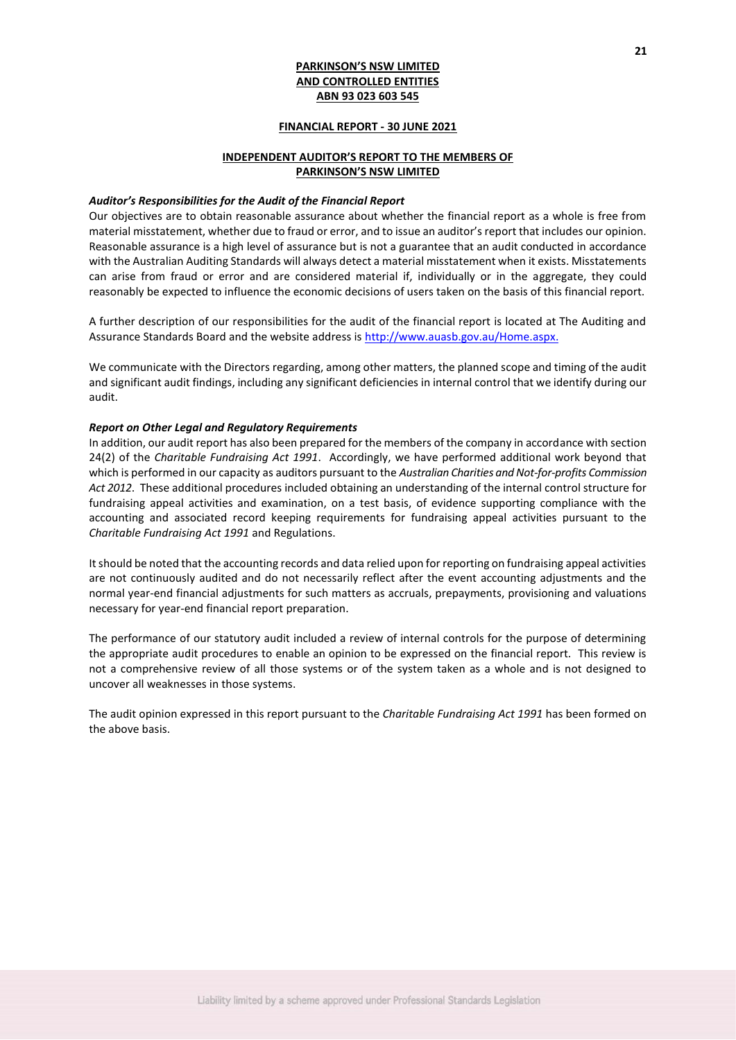### **FINANCIAL REPORT - 30 JUNE 2021**

# **INDEPENDENT AUDITOR'S REPORT TO THE MEMBERS OF PARKINSON'S NSW LIMITED**

#### *Auditor's Responsibilities for the Audit of the Financial Report*

Our objectives are to obtain reasonable assurance about whether the financial report as a whole is free from material misstatement, whether due to fraud or error, and to issue an auditor's report that includes our opinion. Reasonable assurance is a high level of assurance but is not a guarantee that an audit conducted in accordance with the Australian Auditing Standards will always detect a material misstatement when it exists. Misstatements can arise from fraud or error and are considered material if, individually or in the aggregate, they could reasonably be expected to influence the economic decisions of users taken on the basis of this financial report.

A further description of our responsibilities for the audit of the financial report is located at The Auditing and Assurance Standards Board and the website address is [http://www.auasb.gov.au/Home.aspx.](http://www.auasb.gov.au/Home.aspx)

We communicate with the Directors regarding, among other matters, the planned scope and timing of the audit and significant audit findings, including any significant deficiencies in internal control that we identify during our audit.

#### *Report on Other Legal and Regulatory Requirements*

In addition, our audit report has also been prepared for the members of the company in accordance with section 24(2) of the *Charitable Fundraising Act 1991*. Accordingly, we have performed additional work beyond that which is performed in our capacity as auditors pursuant to the *Australian Charities and Not-for-profits Commission Act 2012*. These additional procedures included obtaining an understanding of the internal control structure for fundraising appeal activities and examination, on a test basis, of evidence supporting compliance with the accounting and associated record keeping requirements for fundraising appeal activities pursuant to the *Charitable Fundraising Act 1991* and Regulations.

It should be noted that the accounting records and data relied upon for reporting on fundraising appeal activities are not continuously audited and do not necessarily reflect after the event accounting adjustments and the normal year-end financial adjustments for such matters as accruals, prepayments, provisioning and valuations necessary for year-end financial report preparation.

The performance of our statutory audit included a review of internal controls for the purpose of determining the appropriate audit procedures to enable an opinion to be expressed on the financial report. This review is not a comprehensive review of all those systems or of the system taken as a whole and is not designed to uncover all weaknesses in those systems.

The audit opinion expressed in this report pursuant to the *Charitable Fundraising Act 1991* has been formed on the above basis.